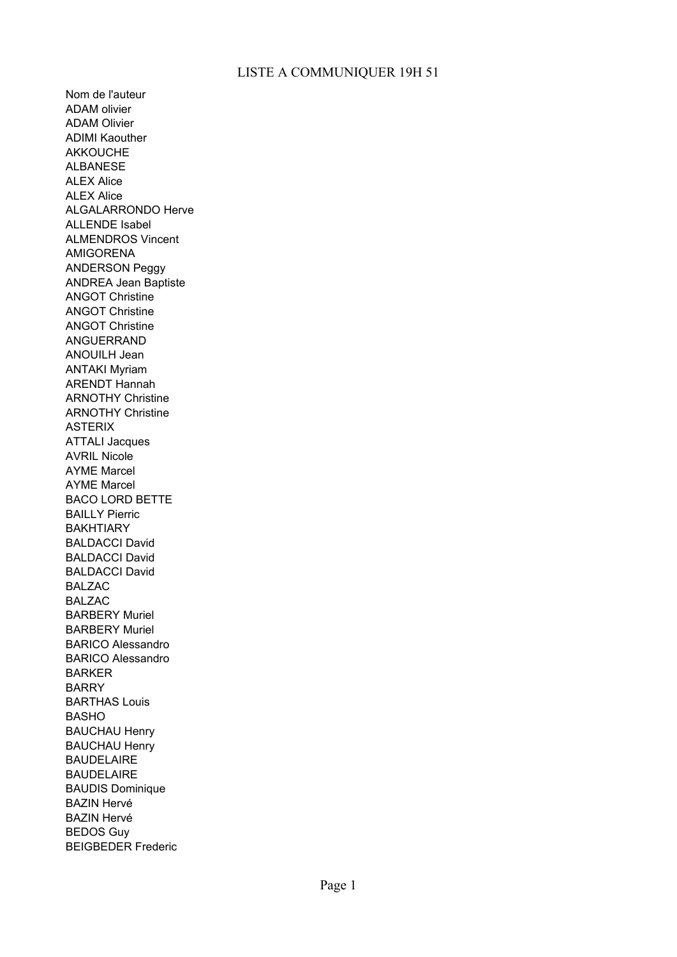Nom de l'auteur ADAM olivier ADAM Olivier ADIMI Kaouther AKKOUCHE ALBANESE ALEX Alice ALEX Alice ALGALARRONDO Herve ALLENDE Isabel ALMENDROS Vincent AMIGORENA ANDERSON Peggy ANDREA Jean Baptiste ANGOT Christine ANGOT Christine ANGOT Christine ANGUERRAND ANOUILH Jean ANTAKI Myriam ARENDT Hannah ARNOTHY Christine ARNOTHY Christine ASTERIX ATTALI Jacques AVRIL Nicole AYME Marcel AYME Marcel BACO LORD BETTE BAILLY Pierric **BAKHTIARY** BALDACCI David BALDACCI David BALDACCI David BALZAC BALZAC BARBERY Muriel BARBERY Muriel BARICO Alessandro BARICO Alessandro BARKER BARRY BARTHAS Louis BASHO BAUCHAU Henry BAUCHAU Henry BAUDELAIRE BAUDELAIRE BAUDIS Dominique BAZIN Hervé BAZIN Hervé BEDOS Guy BEIGBEDER Frederic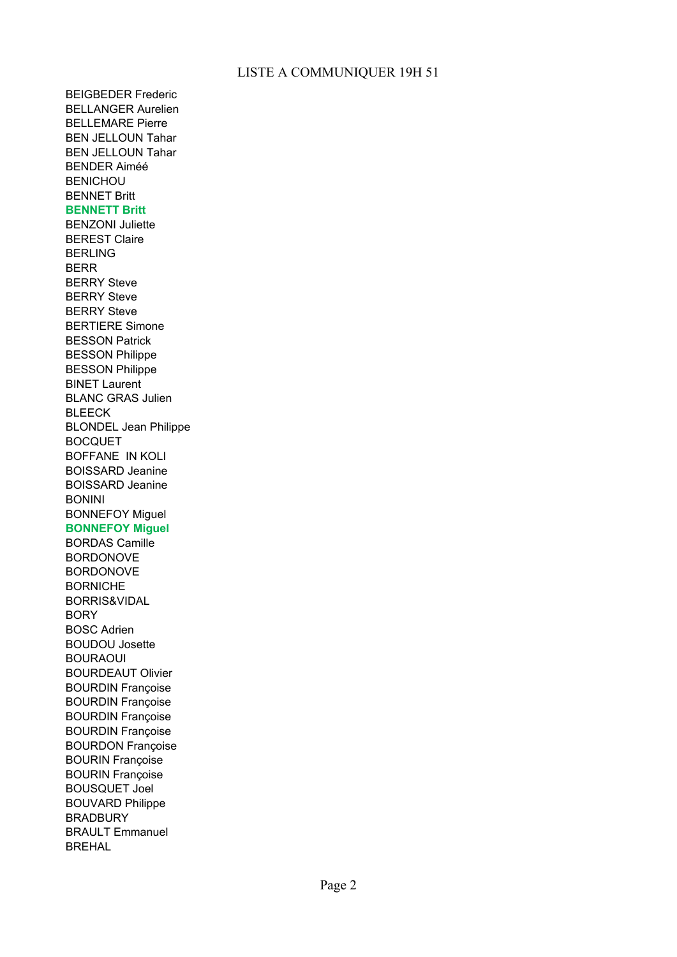BEIGBEDER Frederic BELLANGER Aurelien BELLEMARE Pierre BEN JELLOUN Tahar BEN JELLOUN Tahar BENDER Aiméé BENICHOU BENNET Britt **BENNETT Britt** BENZONI Juliette BEREST Claire BERLING BERR BERRY Steve BERRY Steve BERRY Steve BERTIERE Simone BESSON Patrick BESSON Philippe BESSON Philippe BINET Laurent BLANC GRAS Julien BLEECK BLONDEL Jean Philippe BOCQUET BOFFANE IN KOLI BOISSARD Jeanine BOISSARD Jeanine BONINI BONNEFOY Miguel **BONNEFOY Miguel** BORDAS Camille BORDONOVE BORDONOVE BORNICHE BORRIS&VIDAL BORY BOSC Adrien BOUDOU Josette BOURAOUI BOURDEAUT Olivier BOURDIN Françoise BOURDIN Françoise BOURDIN Françoise BOURDIN Françoise BOURDON Françoise BOURIN Françoise BOURIN Françoise BOUSQUET Joel BOUVARD Philippe **BRADBURY** BRAULT Emmanuel BREHAL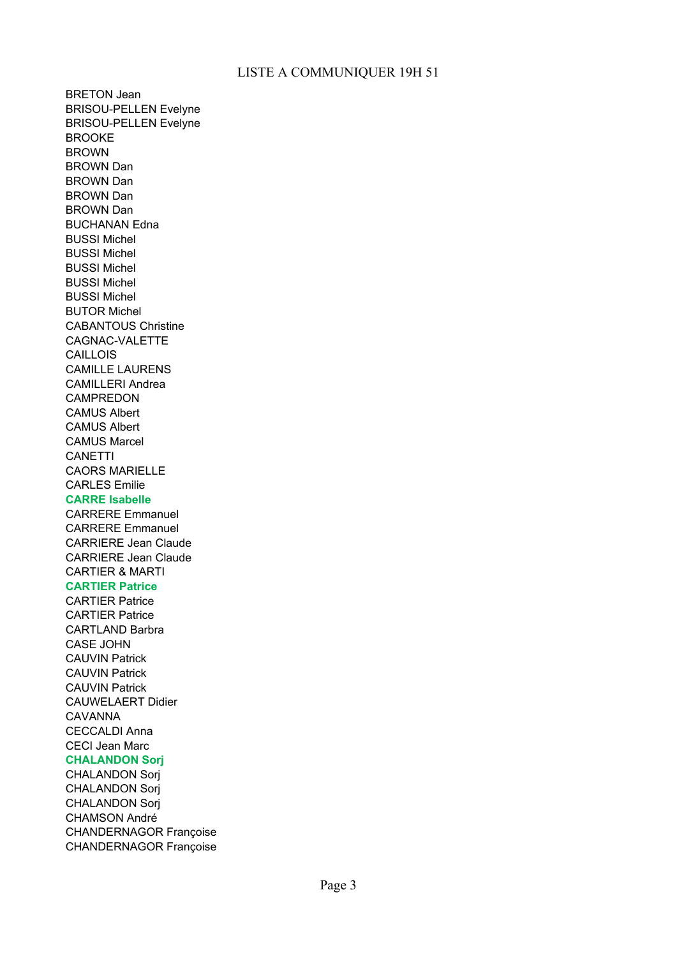BRETON Jean BRISOU-PELLEN Evelyne BRISOU-PELLEN Evelyne BROOKE BROWN BROWN Dan BROWN Dan BROWN Dan BROWN Dan BUCHANAN Edna BUSSI Michel BUSSI Michel BUSSI Michel BUSSI Michel BUSSI Michel BUTOR Michel CABANTOUS Christine CAGNAC-VALETTE CAILLOIS CAMILLE LAURENS CAMILLERI Andrea CAMPREDON CAMUS Albert CAMUS Albert CAMUS Marcel CANETTI CAORS MARIELLE CARLES Emilie **CARRE Isabelle** CARRERE Emmanuel CARRERE Emmanuel CARRIERE Jean Claude CARRIERE Jean Claude CARTIER & MARTI **CARTIER Patrice** CARTIER Patrice CARTIER Patrice CARTLAND Barbra CASE JOHN CAUVIN Patrick CAUVIN Patrick CAUVIN Patrick CAUWELAERT Didier CAVANNA CECCALDI Anna CECI Jean Marc **CHALANDON Sorj** CHALANDON Sorj CHALANDON Sorj CHALANDON Sorj CHAMSON André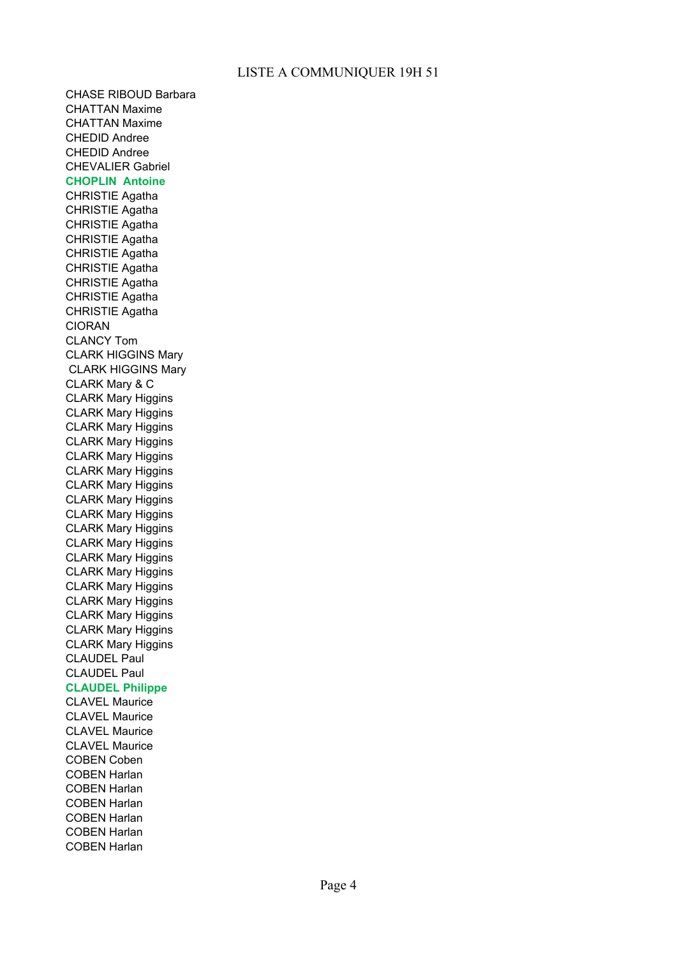CHASE RIBOUD Barbara CHATTAN Maxime CHATTAN Maxime CHEDID Andree CHEDID Andree CHEVALIER Gabriel **CHOPLIN Antoine** CHRISTIE Agatha CHRISTIE Agatha CHRISTIE Agatha CHRISTIE Agatha CHRISTIE Agatha CHRISTIE Agatha CHRISTIE Agatha CHRISTIE Agatha CHRISTIE Agatha CIORAN CLANCY Tom CLARK HIGGINS Mary CLARK HIGGINS Mary CLARK Mary & C CLARK Mary Higgins CLARK Mary Higgins CLARK Mary Higgins CLARK Mary Higgins CLARK Mary Higgins CLARK Mary Higgins CLARK Mary Higgins CLARK Mary Higgins CLARK Mary Higgins CLARK Mary Higgins CLARK Mary Higgins CLARK Mary Higgins CLARK Mary Higgins CLARK Mary Higgins CLARK Mary Higgins CLARK Mary Higgins CLARK Mary Higgins CLARK Mary Higgins CLAUDEL Paul CLAUDEL Paul **CLAUDEL Philippe** CLAVEL Maurice CLAVEL Maurice CLAVEL Maurice CLAVEL Maurice COBEN Coben COBEN Harlan COBEN Harlan COBEN Harlan COBEN Harlan COBEN Harlan

COBEN Harlan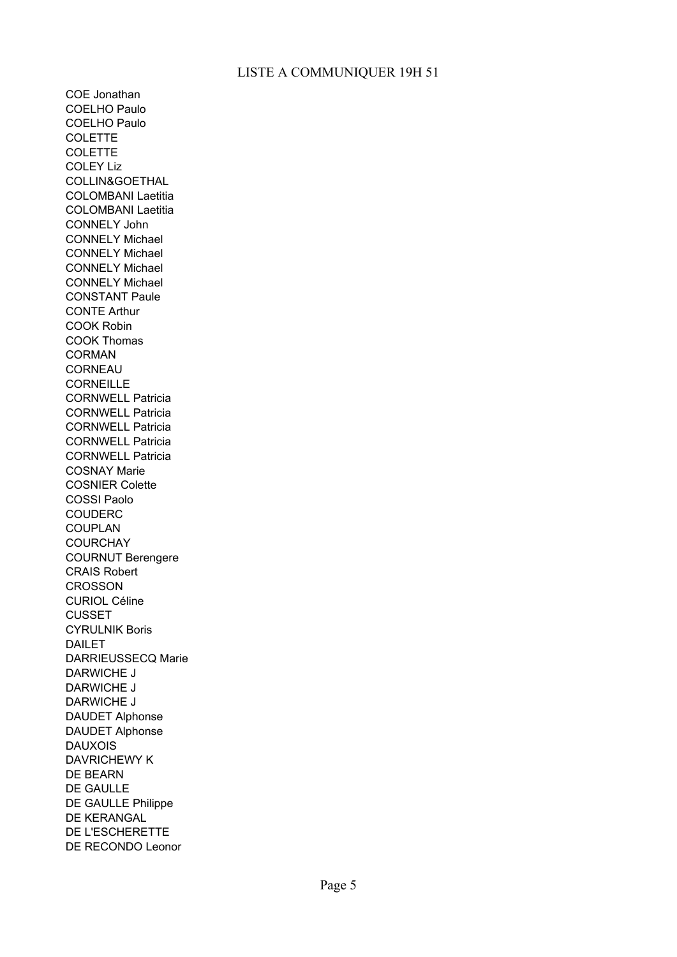COE Jonathan COELHO Paulo COELHO Paulo COLETTE **COLETTE** COLEY Liz COLLIN&GOETHAL COLOMBANI Laetitia COLOMBANI Laetitia CONNELY John CONNELY Michael CONNELY Michael CONNELY Michael CONNELY Michael CONSTANT Paule CONTE Arthur COOK Robin COOK Thomas CORMAN CORNEAU **CORNEILLE** CORNWELL Patricia CORNWELL Patricia CORNWELL Patricia CORNWELL Patricia CORNWELL Patricia COSNAY Marie COSNIER Colette COSSI Paolo COUDERC COUPLAN COURCHAY COURNUT Berengere CRAIS Robert **CROSSON** CURIOL Céline CUSSET CYRULNIK Boris DAILET DARRIEUSSECQ Marie DARWICHE J DARWICHE J DARWICHE J DAUDET Alphonse DAUDET Alphonse DAUXOIS DAVRICHEWY K DE BEARN DE GAULLE DE GAULLE Philippe DE KERANGAL DE L'ESCHERETTE DE RECONDO Leonor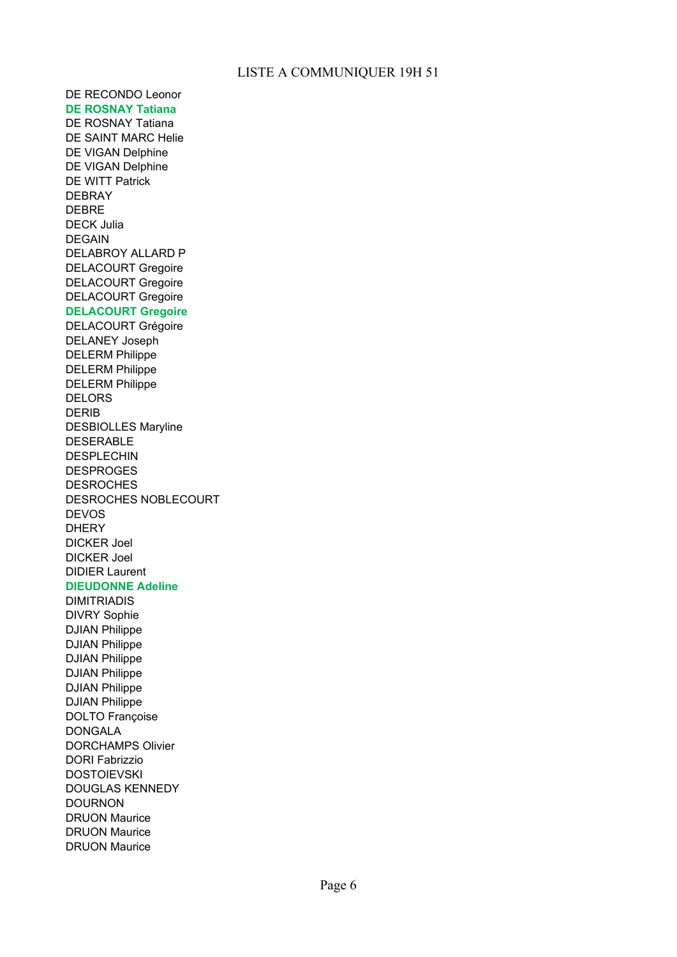DE RECONDO Leonor **DE ROSNAY Tatiana** DE ROSNAY Tatiana DE SAINT MARC Helie DE VIGAN Delphine DE VIGAN Delphine DE WITT Patrick DEBRAY DEBRE DECK Julia DEGAIN DELABROY ALLARD P DELACOURT Gregoire DELACOURT Gregoire DELACOURT Gregoire **DELACOURT Gregoire** DELACOURT Grégoire DELANEY Joseph DELERM Philippe DELERM Philippe DELERM Philippe DELORS DERIB DESBIOLLES Maryline DESERABLE DESPLECHIN DESPROGES **DESROCHES** DESROCHES NOBLECOURT DEVOS DHERY DICKER Joel DICKER Joel DIDIER Laurent **DIEUDONNE Adeline** DIMITRIADIS DIVRY Sophie DJIAN Philippe DJIAN Philippe DJIAN Philippe DJIAN Philippe DJIAN Philippe DJIAN Philippe DOLTO Françoise DONGALA DORCHAMPS Olivier DORI Fabrizzio **DOSTOIEVSKI** DOUGLAS KENNEDY

DOURNON DRUON Maurice DRUON Maurice DRUON Maurice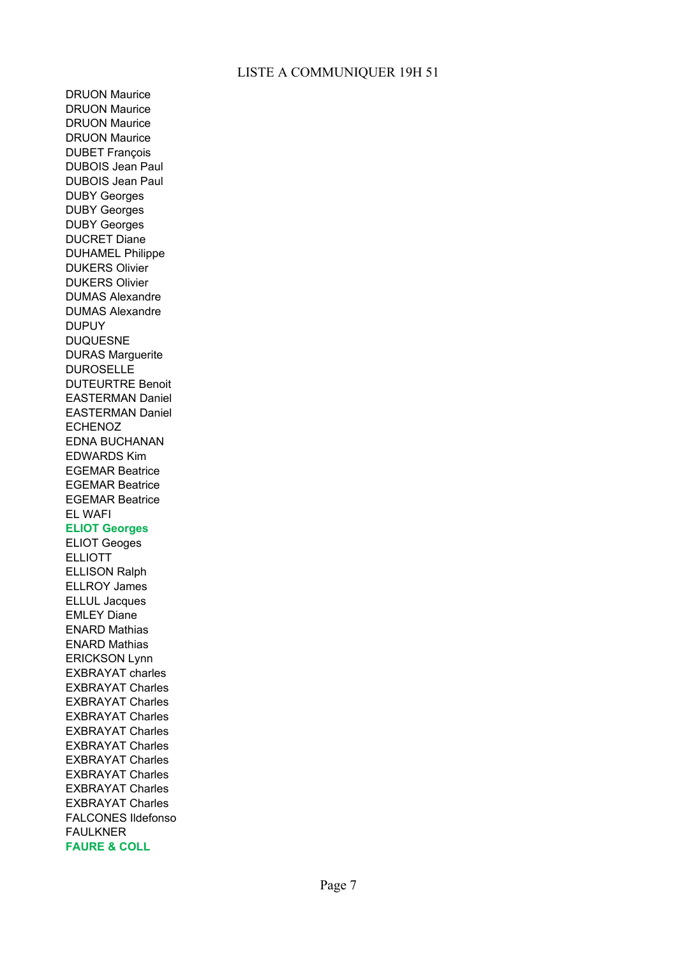DRUON Maurice DRUON Maurice DRUON Maurice DRUON Maurice DUBET François DUBOIS Jean Paul DUBOIS Jean Paul DUBY Georges DUBY Georges DUBY Georges DUCRET Diane DUHAMEL Philippe DUKERS Olivier DUKERS Olivier DUMAS Alexandre DUMAS Alexandre DUPUY DUQUESNE DURAS Marguerite DUROSELLE DUTEURTRE Benoit EASTERMAN Daniel EASTERMAN Daniel ECHENOZ EDNA BUCHANAN EDWARDS Kim EGEMAR Beatrice EGEMAR Beatrice EGEMAR Beatrice EL WAFI **ELIOT Georges** ELIOT Geoges ELLIOTT ELLISON Ralph ELLROY James ELLUL Jacques EMLEY Diane ENARD Mathias ENARD Mathias ERICKSON Lynn EXBRAYAT charles EXBRAYAT Charles EXBRAYAT Charles EXBRAYAT Charles EXBRAYAT Charles EXBRAYAT Charles EXBRAYAT Charles EXBRAYAT Charles EXBRAYAT Charles EXBRAYAT Charles

FALCONES Ildefonso

FAULKNER **FAURE & COLL**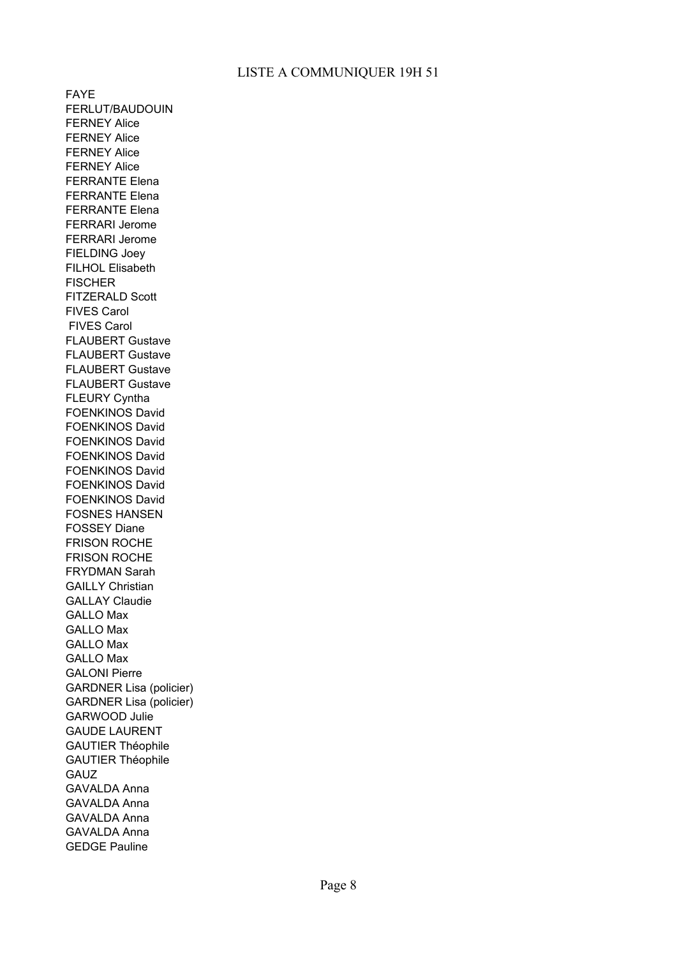FAYE FERLUT/BAUDOUIN FERNEY Alice FERNEY Alice FERNEY Alice FERNEY Alice FERRANTE Elena FERRANTE Elena FERRANTE Elena FERRARI Jerome FERRARI Jerome FIELDING Joey FILHOL Elisabeth **FISCHER** FITZERALD Scott FIVES Carol FIVES Carol FLAUBERT Gustave FLAUBERT Gustave FLAUBERT Gustave FLAUBERT Gustave FLEURY Cyntha FOENKINOS David FOENKINOS David FOENKINOS David FOENKINOS David FOENKINOS David FOENKINOS David FOENKINOS David FOSNES HANSEN FOSSEY Diane FRISON ROCHE FRISON ROCHE FRYDMAN Sarah GAILLY Christian GALLAY Claudie GALLO Max GALLO Max GALLO Max GALLO Max GALONI Pierre GARDNER Lisa (policier) GARDNER Lisa (policier) GARWOOD Julie GAUDE LAURENT GAUTIER Théophile GAUTIER Théophile GAUZ GAVALDA Anna GAVALDA Anna GAVALDA Anna GAVALDA Anna GEDGE Pauline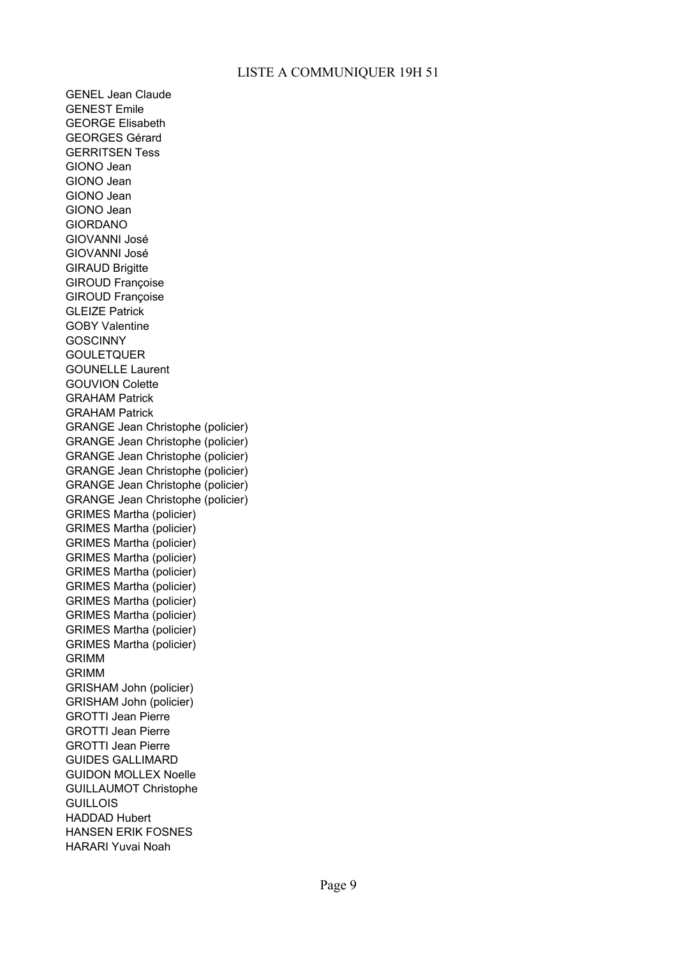GENEL Jean Claude GENEST Emile GEORGE Elisabeth GEORGES Gérard GERRITSEN Tess GIONO Jean GIONO Jean GIONO Jean GIONO Jean GIORDANO GIOVANNI José GIOVANNI José **GIRAUD Brigitte** GIROUD Françoise GIROUD Françoise GLEIZE Patrick GOBY Valentine **GOSCINNY** GOULETQUER GOUNELLE Laurent GOUVION Colette GRAHAM Patrick GRAHAM Patrick GRANGE Jean Christophe (policier) GRANGE Jean Christophe (policier) GRANGE Jean Christophe (policier) GRANGE Jean Christophe (policier) GRANGE Jean Christophe (policier) GRANGE Jean Christophe (policier) GRIMES Martha (policier) GRIMES Martha (policier) GRIMES Martha (policier) GRIMES Martha (policier) GRIMES Martha (policier) GRIMES Martha (policier) GRIMES Martha (policier) GRIMES Martha (policier) GRIMES Martha (policier) GRIMES Martha (policier) GRIMM GRIMM GRISHAM John (policier) GRISHAM John (policier) GROTTI Jean Pierre GROTTI Jean Pierre GROTTI Jean Pierre GUIDES GALLIMARD GUIDON MOLLEX Noelle GUILLAUMOT Christophe **GUILLOIS** HADDAD Hubert HANSEN ERIK FOSNES HARARI Yuvai Noah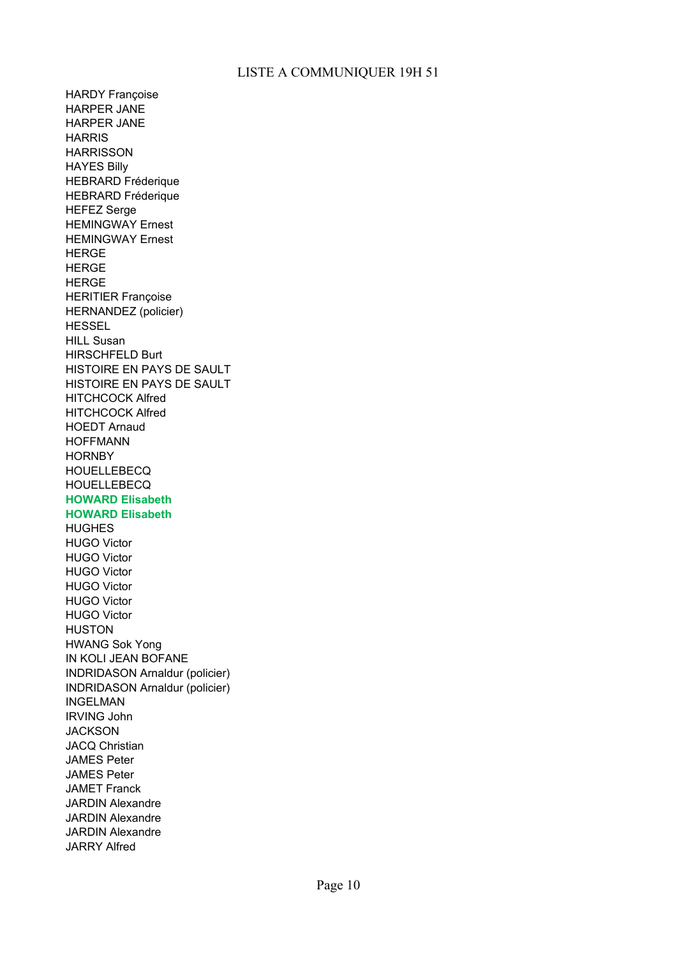HARDY Françoise HARPER JANE HARPER JANE **HARRIS HARRISSON** HAYES Billy HEBRARD Fréderique HEBRARD Fréderique HEFEZ Serge HEMINGWAY Ernest HEMINGWAY Ernest **HERGE HERGE HERGE** HERITIER Françoise HERNANDEZ (policier) **HESSEL** HILL Susan HIRSCHFELD Burt HISTOIRE EN PAYS DE SAULT HISTOIRE EN PAYS DE SAULT HITCHCOCK Alfred HITCHCOCK Alfred HOEDT Arnaud HOFFMANN **HORNBY HOUELLEBECQ HOUELLEBECQ HOWARD Elisabeth HOWARD Elisabeth HUGHES** HUGO Victor HUGO Victor HUGO Victor HUGO Victor HUGO Victor HUGO Victor **HUSTON** HWANG Sok Yong IN KOLI JEAN BOFANE INDRIDASON Arnaldur (policier) INDRIDASON Arnaldur (policier) INGELMAN IRVING John **JACKSON** JACQ Christian JAMES Peter JAMES Peter JAMET Franck JARDIN Alexandre JARDIN Alexandre JARDIN Alexandre JARRY Alfred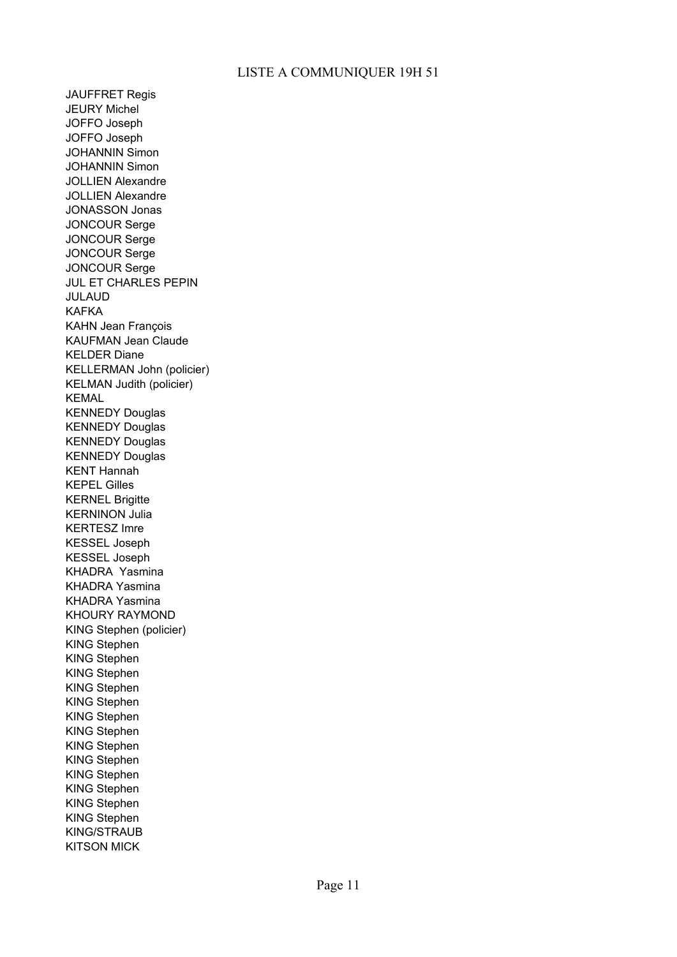JAUFFRET Regis JEURY Michel JOFFO Joseph JOFFO Joseph JOHANNIN Simon JOHANNIN Simon JOLLIEN Alexandre JOLLIEN Alexandre JONASSON Jonas JONCOUR Serge JONCOUR Serge JONCOUR Serge JONCOUR Serge JUL ET CHARLES PEPIN JULAUD KAFKA KAHN Jean François KAUFMAN Jean Claude KELDER Diane KELLERMAN John (policier) KELMAN Judith (policier) KEMAL KENNEDY Douglas KENNEDY Douglas KENNEDY Douglas KENNEDY Douglas KENT Hannah KEPEL Gilles KERNEL Brigitte KERNINON Julia KERTESZ Imre KESSEL Joseph KESSEL Joseph KHADRA Yasmina KHADRA Yasmina KHADRA Yasmina KHOURY RAYMOND KING Stephen (policier) KING Stephen KING Stephen KING Stephen KING Stephen KING Stephen KING Stephen KING Stephen KING Stephen KING Stephen KING Stephen KING Stephen KING Stephen KING Stephen KING/STRAUB KITSON MICK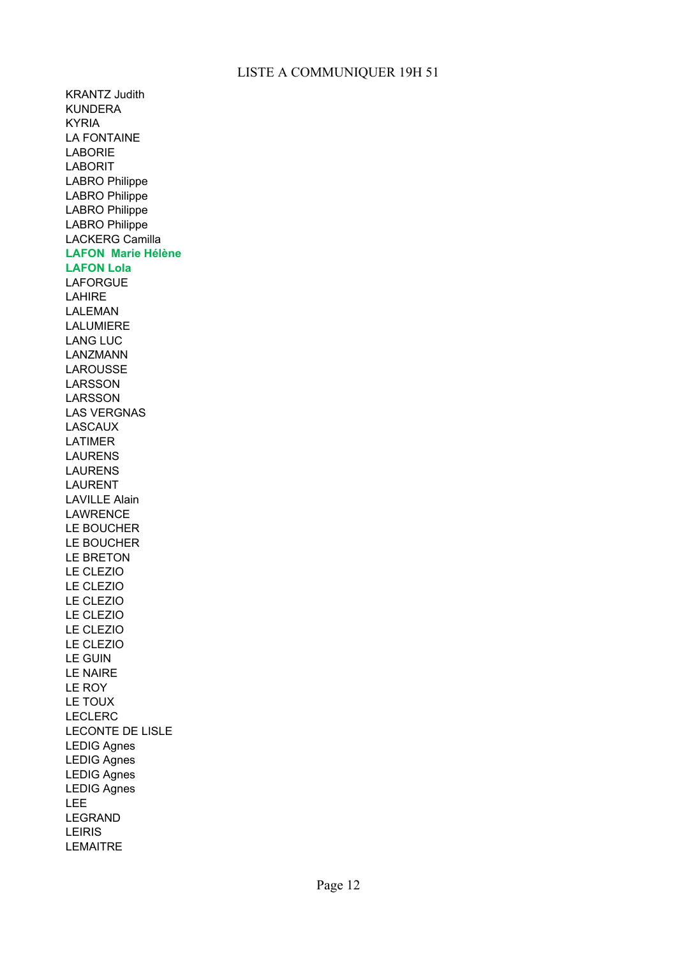KRANTZ Judith KUNDERA KYRIA LA FONTAINE LABORIE LABORIT LABRO Philippe LABRO Philippe LABRO Philippe LABRO Philippe LACKERG Camilla **LAFON Marie Hélène LAFON Lola** LAFORGUE **LAHIRE** LALEMAN LALUMIERE LANG LUC LANZMANN LAROUSSE LARSSON LARSSON LAS VERGNAS LASCAUX LATIMER LAURENS LAURENS LAURENT LAVILLE Alain LAWRENCE LE BOUCHER LE BOUCHER LE BRETON LE CLEZIO LE CLEZIO LE CLEZIO LE CLEZIO LE CLEZIO LE CLEZIO LE GUIN LE NAIRE LE ROY LE TOUX LECLERC LECONTE DE LISLE LEDIG Agnes LEDIG Agnes LEDIG Agnes LEDIG Agnes LEE LEGRAND LEIRIS LEMAITRE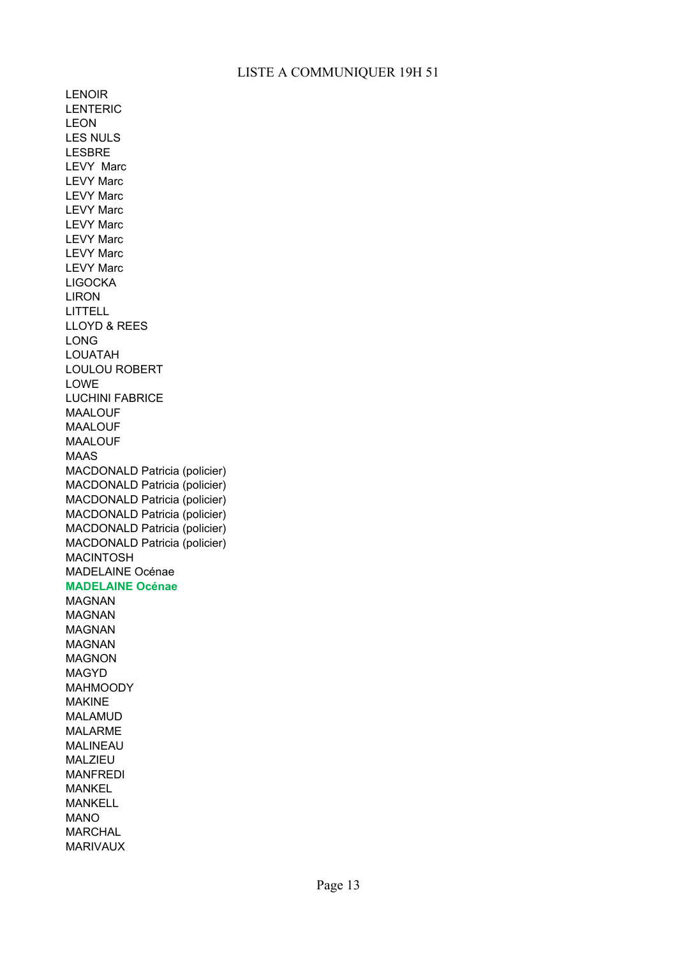LENOIR LENTERIC LEON LES NULS LESBRE LEVY Marc LEVY Marc LEVY Marc LEVY Marc LEVY Marc LEVY Marc LEVY Marc LEVY Marc LIGOCKA LIRON LITTELL LLOYD & REES LONG LOUATAH LOULOU ROBERT LOWE LUCHINI FABRICE MAALOUF MAALOUF MAALOUF MAAS MACDONALD Patricia (policier) MACDONALD Patricia (policier) MACDONALD Patricia (policier) MACDONALD Patricia (policier) MACDONALD Patricia (policier) MACDONALD Patricia (policier) MACINTOSH MADELAINE Océnae **MADELAINE Océnae** MAGNAN MAGNAN MAGNAN MAGNAN MAGNON MAGYD MAHMOODY MAKINE MALAMUD MALARME MALINEAU MALZIEU MANFREDI MANKEL MANKELL MANO MARCHAL MARIVAUX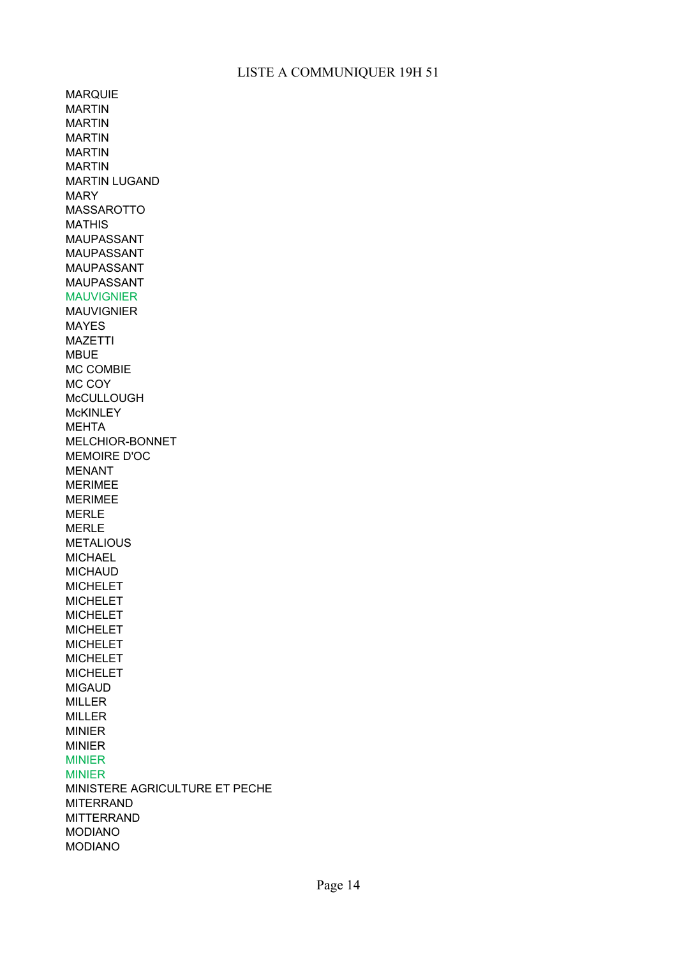MARQUIE MARTIN MARTIN MARTIN MARTIN MARTIN MARTIN LUGAND MARY MASSAROTTO MATHIS MAUPASSANT MAUPASSANT MAUPASSANT MAUPASSANT MAUVIGNIER MAUVIGNIER MAYES MAZETTI MBUE MC COMBIE MC COY **McCULLOUGH McKINLEY** MEHTA MELCHIOR-BONNET MEMOIRE D'OC MENANT MERIMEE MERIMEE MERLE MERLE **METALIOUS** MICHAEL **MICHAUD** MICHELET MICHELET MICHELET MICHELET MICHELET MICHELET MICHELET MIGAUD MILLER MILLER MINIER MINIER MINIER MINIER MINISTERE AGRICULTURE ET PECHE MITERRAND MITTERRAND MODIANO MODIANO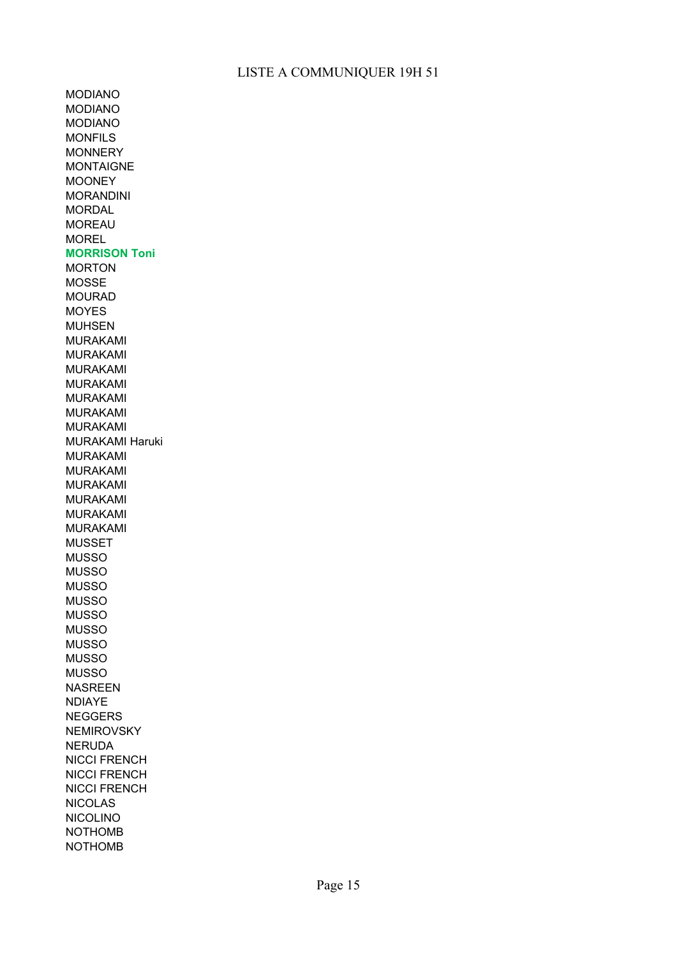MODIANO MODIANO MODIANO MONFILS **MONNERY** MONTAIGNE MOONEY MORANDINI **MORDAL** MOREAU MOREL **MORRISON Toni** MORTON MOSSE MOURAD MOYES MUHSEN MURAKAMI MURAKAMI MURAKAMI MURAKAMI MURAKAMI MURAKAMI MURAKAMI MURAKAMI Haruki MURAKAMI MURAKAMI MURAKAMI MURAKAMI MURAKAMI MURAKAMI MUSSET MUSSO MUSSO MUSSO MUSSO MUSSO MUSSO MUSSO MUSSO MUSSO NASREEN NDIAYE NEGGERS **NEMIROVSKY** NERUDA NICCI FRENCH NICCI FRENCH NICCI FRENCH NICOLAS NICOLINO NOTHOMB NOTHOMB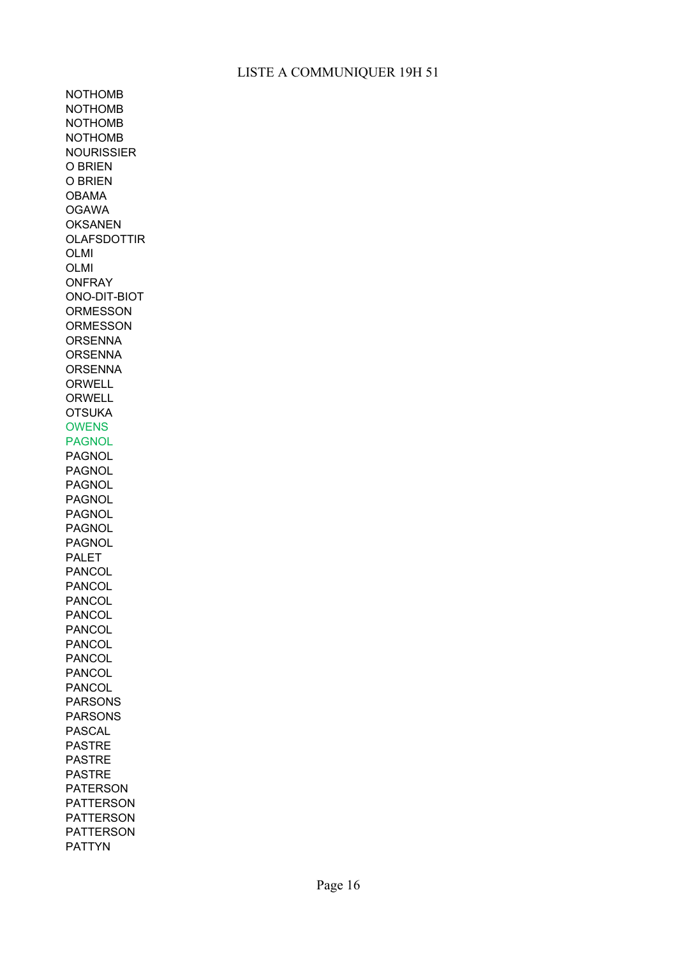NOTHOMB NOTHOMB NOTHOMB NOTHOMB NOURISSIER O BRIEN O BRIEN OBAMA OGAWA **OKSANEN** OLAFSDOTTIR OLMI OLMI ONFRAY ONO-DIT-BIOT **ORMESSON ORMESSON ORSENNA ORSENNA ORSENNA** ORWELL ORWELL **OTSUKA** OWENS PAGNOL PAGNOL PAGNOL PAGNOL PAGNOL PAGNOL PAGNOL PAGNOL PALET PANCOL PANCOL PANCOL PANCOL PANCOL PANCOL PANCOL PANCOL PANCOL PARSONS PARSONS PASCAL PASTRE PASTRE PASTRE PATERSON PATTERSON PATTERSON PATTERSON PATTYN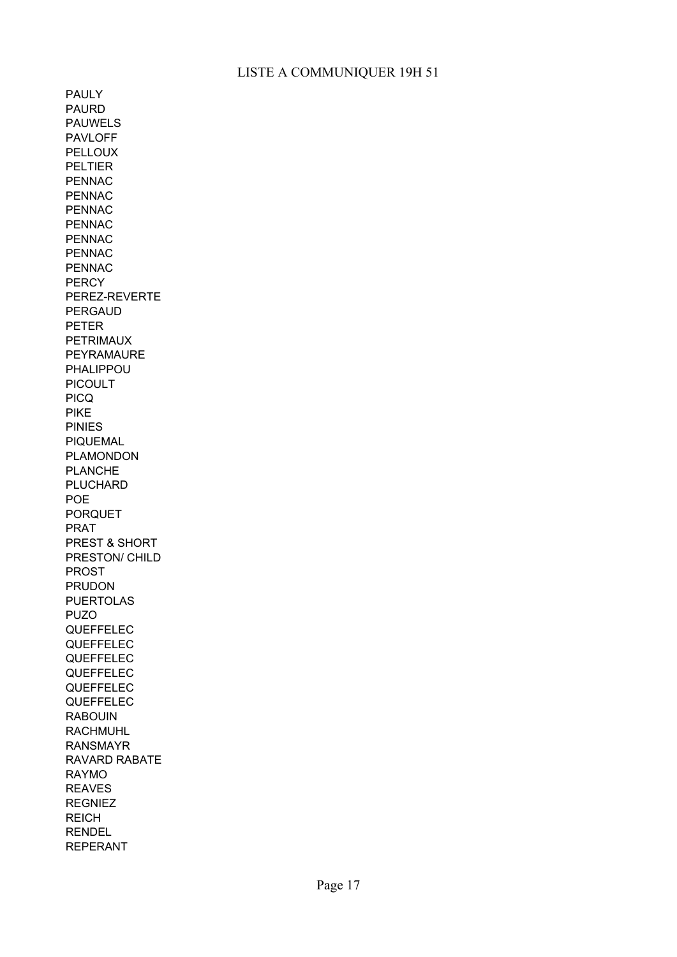PAULY PAURD PAUWELS PAVLOFF PELLOUX PELTIER PENNAC PENNAC PENNAC PENNAC PENNAC PENNAC PENNAC **PERCY** PEREZ-REVERTE PERGAUD PETER PETRIMAUX PEYRAMAURE PHALIPPOU PICOULT PICQ PIKE PINIES PIQUEMAL PLAMONDON PLANCHE PLUCHARD POE PORQUET PRAT PREST & SHORT PRESTON/ CHILD PROST PRUDON PUERTOLAS PUZO QUEFFELEC QUEFFELEC QUEFFELEC QUEFFELEC QUEFFELEC QUEFFELEC RABOUIN RACHMUHL RANSMAYR RAVARD RABATE RAYMO REAVES **REGNIEZ** REICH RENDEL REPERANT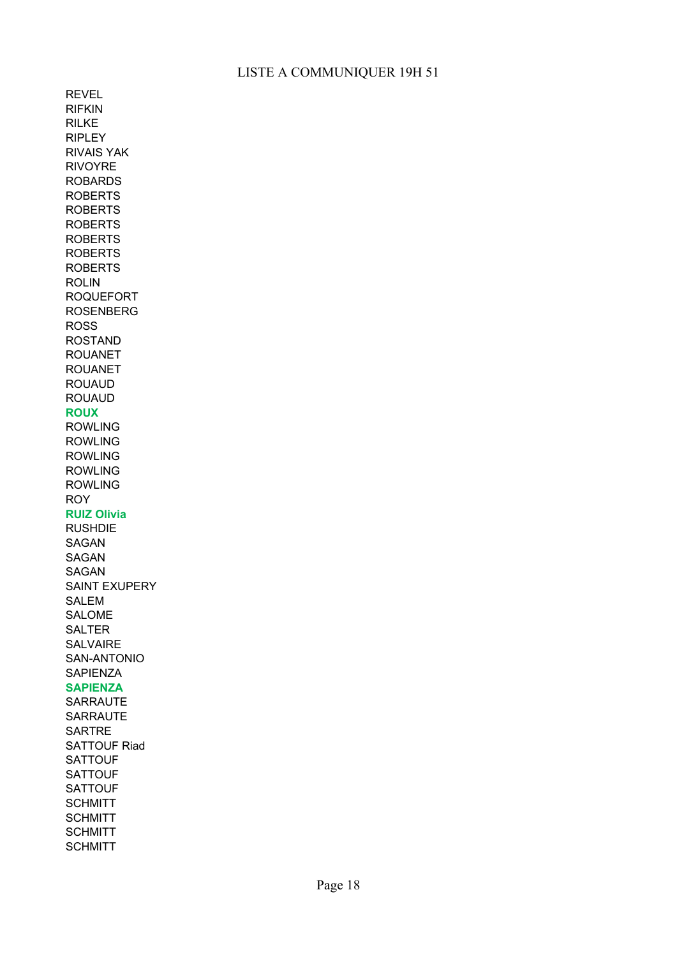REVEL RIFKIN RILKE RIPLEY RIVAIS YAK RIVOYRE ROBARDS ROBERTS ROBERTS ROBERTS ROBERTS ROBERTS ROBERTS ROLIN ROQUEFORT ROSENBERG ROSS ROSTAND ROUANET ROUANET ROUAUD ROUAUD **ROUX**  ROWLING ROWLING ROWLING ROWLING ROWLING ROY **RUIZ Olivia** RUSHDIE SAGAN SAGAN SAGAN SAINT EXUPERY SALEM SALOME SALTER SALVAIRE SAN-ANTONIO **SAPIENZA SAPIENZA**  SARRAUTE SARRAUTE **SARTRE** SATTOUF Riad **SATTOUF SATTOUF SATTOUF SCHMITT SCHMITT SCHMITT SCHMITT**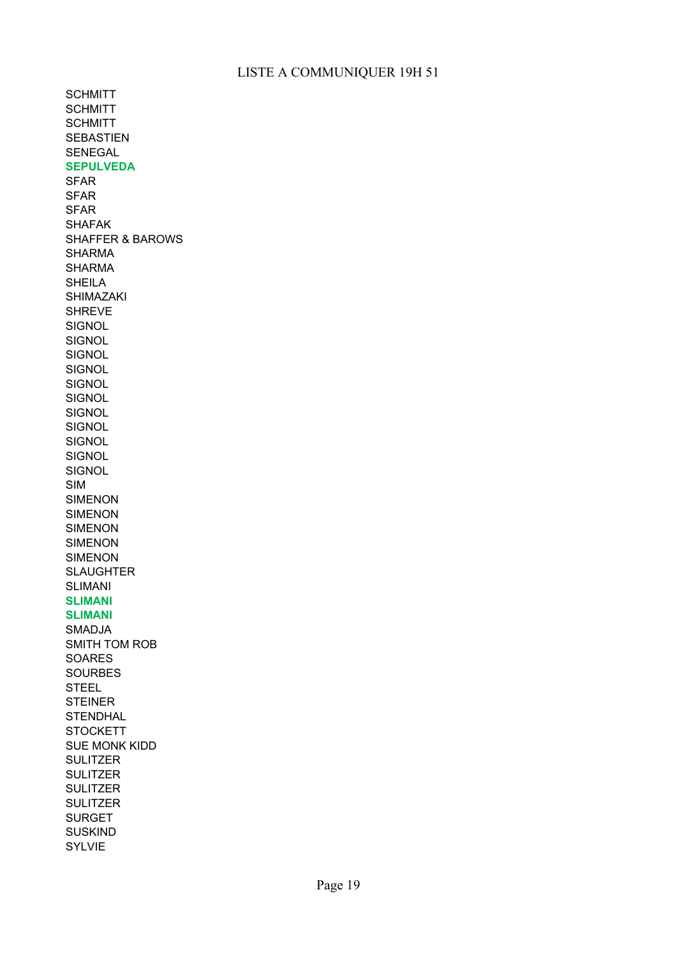**SCHMITT SCHMITT SCHMITT** SEBASTIEN SENEGAL **SEPULVEDA**  SFAR SFAR SFAR SHAFAK SHAFFER & BAROWS SHARMA SHARMA SHEILA SHIMAZAKI SHREVE **SIGNOL SIGNOL SIGNOL SIGNOL SIGNOL SIGNOL SIGNOL SIGNOL SIGNOL SIGNOL SIGNOL** SIM SIMENON SIMENON SIMENON SIMENON SIMENON **SLAUGHTER** SLIMANI **SLIMANI SLIMANI**  SMADJA SMITH TOM ROB SOARES SOURBES STEEL STEINER **STENDHAL STOCKETT** SUE MONK KIDD **SULITZER SULITZER SULITZER SULITZER** SURGET SUSKIND SYLVIE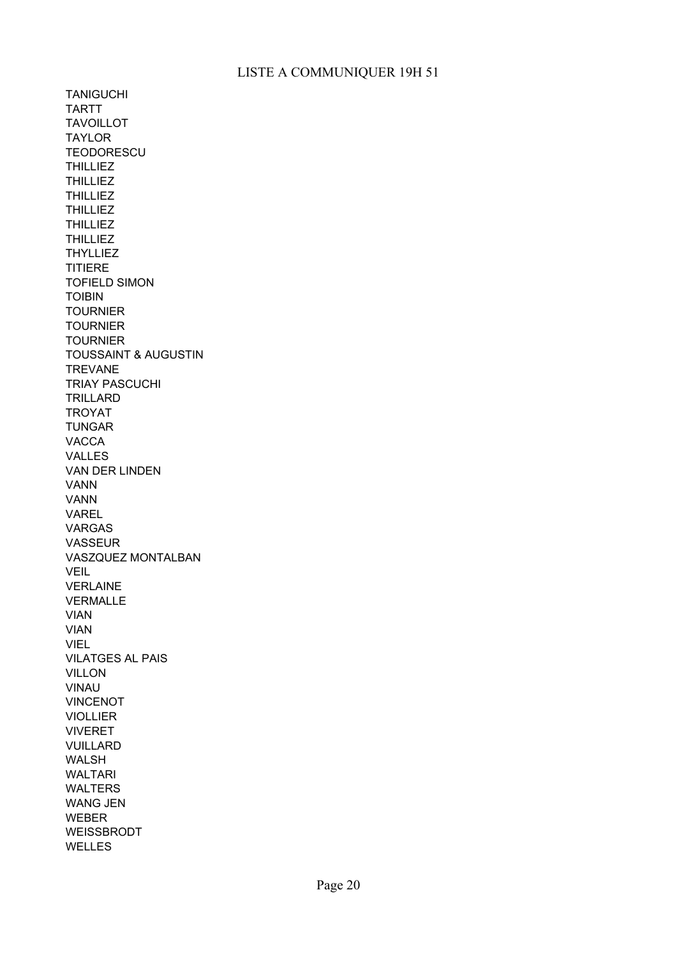TANIGUCHI TARTT TAVOILLOT TAYLOR **TEODORESCU THILLIEZ** THILLIEZ **THILLIEZ THILLIEZ THILLIEZ** THILLIEZ THYLLIEZ **TITIERE** TOIBIN **TOURNIER** TOURNIER **TOURNIER** TOUSSAINT & AUGUSTIN **TREVANE** TRIAY PASCUCHI TRILLARD TROYAT TUNGAR VACCA VALLES VAN DER LINDEN VANN VANN VAREL VARGAS VASSEUR VASZQUEZ MONTALBAN **VEIL** VERLAINE VERMALLE VIAN VIAN VIEL VILATGES AL PAIS VILLON VINAU VINCENOT VIOLLIER VIVERET VUILLARD WALSH WALTARI WALTERS WANG JEN WEBER WEISSBRODT WELLES TOFIELD SIMON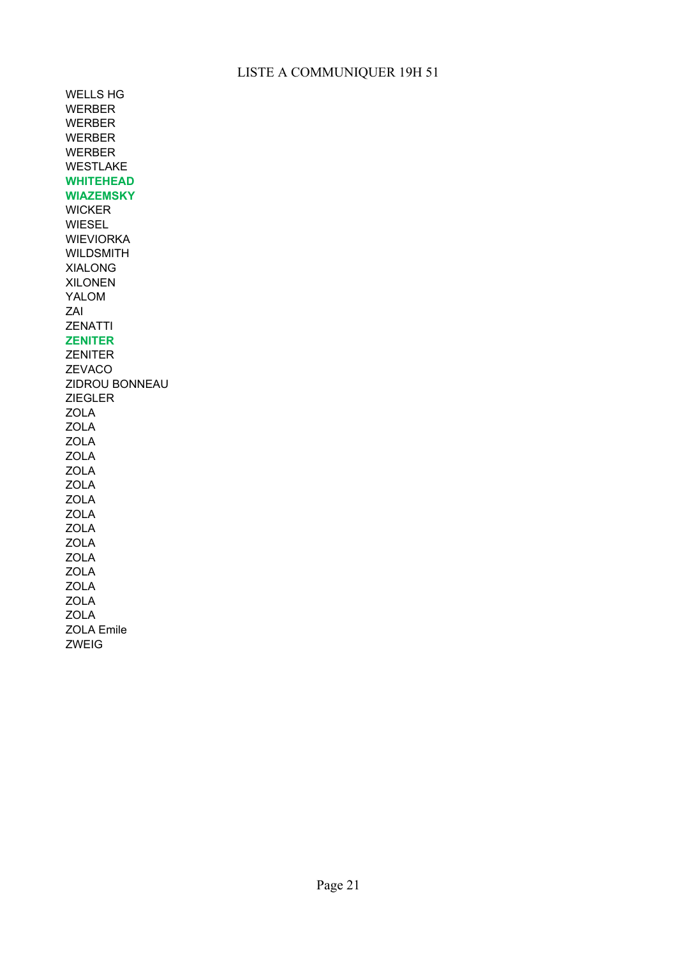WELLS HG WERBER WERBER WERBER WERBER WESTLAKE **WHITEHEAD WIAZEMSKY** WICKER WIESEL WIEVIORKA WILDSMITH XIALONG XILONEN YALOM ZAI ZENATTI **ZENITER**  ZENITER ZEVACO ZIDROU BONNEAU ZIEGLER ZOLA ZOLA ZOLA ZOLA ZOLA ZOLA ZOLA ZOLA ZOLA ZOLA ZOLA ZOLA ZOLA ZOLA ZOLA ZOLA Emile ZWEIG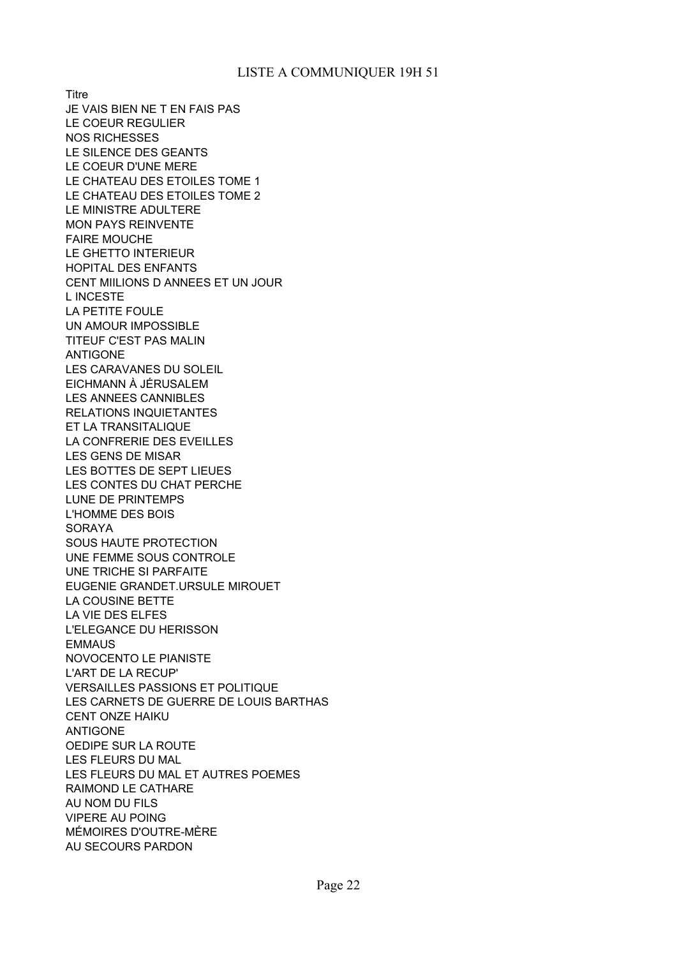**Titre** JE VAIS BIEN NE T EN FAIS PAS LE COEUR REGULIER NOS RICHESSES LE SILENCE DES GEANTS LE COEUR D'UNE MERE LE CHATEAU DES ETOILES TOME 1 LE CHATEAU DES ETOILES TOME 2 LE MINISTRE ADULTERE MON PAYS REINVENTE FAIRE MOUCHE LE GHETTO INTERIEUR HOPITAL DES ENFANTS CENT MIILIONS D ANNEES ET UN JOUR L INCESTE LA PETITE FOULE UN AMOUR IMPOSSIBLE TITEUF C'EST PAS MALIN ANTIGONE LES CARAVANES DU SOLEIL EICHMANN À JÉRUSALEM LES ANNEES CANNIBLES RELATIONS INQUIETANTES ET LA TRANSITALIQUE LA CONFRERIE DES EVEILLES LES GENS DE MISAR LES BOTTES DE SEPT LIEUES LES CONTES DU CHAT PERCHE LUNE DE PRINTEMPS L'HOMME DES BOIS SORAYA SOUS HAUTE PROTECTION UNE FEMME SOUS CONTROLE UNE TRICHE SI PARFAITE EUGENIE GRANDET.URSULE MIROUET LA COUSINE BETTE LA VIE DES ELFES L'ELEGANCE DU HERISSON EMMAUS NOVOCENTO LE PIANISTE L'ART DE LA RECUP' VERSAILLES PASSIONS ET POLITIQUE LES CARNETS DE GUERRE DE LOUIS BARTHAS CENT ONZE HAIKU ANTIGONE OEDIPE SUR LA ROUTE LES FLEURS DU MAL LES FLEURS DU MAL ET AUTRES POEMES RAIMOND LE CATHARE AU NOM DU FILS VIPERE AU POING MÉMOIRES D'OUTRE-MÈRE AU SECOURS PARDON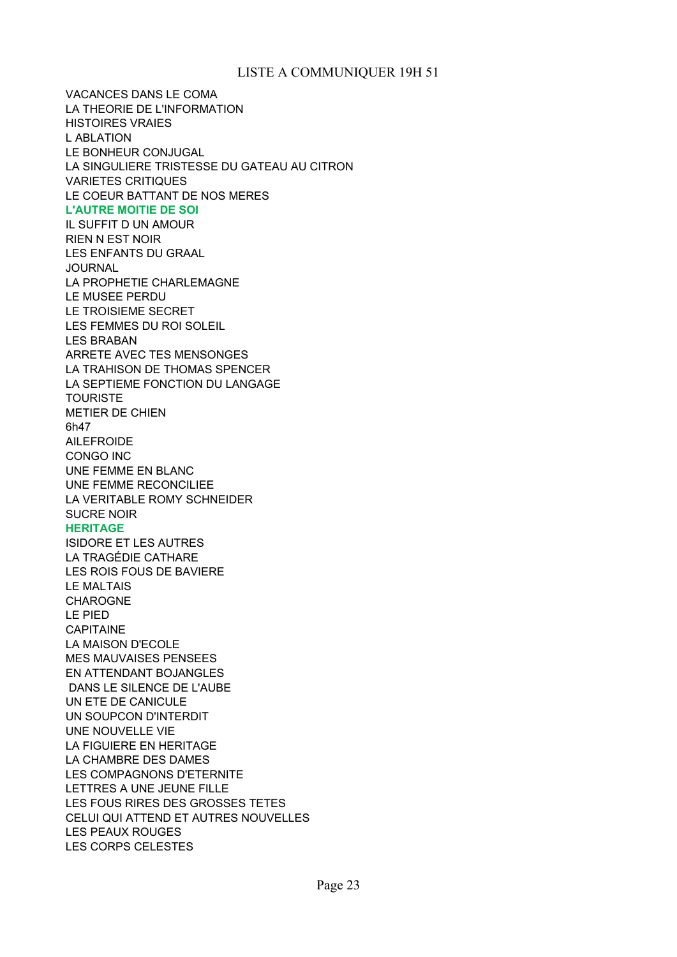VACANCES DANS LE COMA LA THEORIE DE L'INFORMATION HISTOIRES VRAIES L ABLATION LE BONHEUR CONJUGAL LA SINGULIERE TRISTESSE DU GATEAU AU CITRON VARIETES CRITIQUES LE COEUR BATTANT DE NOS MERES **L'AUTRE MOITIE DE SOI** IL SUFFIT D UN AMOUR RIEN N EST NOIR LES ENFANTS DU GRAAL **JOURNAL** LA PROPHETIE CHARLEMAGNE LE MUSEE PERDU LE TROISIEME SECRET LES FEMMES DU ROI SOLEIL LES BRABAN ARRETE AVEC TES MENSONGES LA TRAHISON DE THOMAS SPENCER LA SEPTIEME FONCTION DU LANGAGE TOURISTE METIER DE CHIEN 6h47 AILEFROIDE CONGO INC UNE FEMME EN BLANC UNE FEMME RECONCILIEE LA VERITABLE ROMY SCHNEIDER SUCRE NOIR **HERITAGE** ISIDORE ET LES AUTRES LA TRAGÉDIE CATHARE LES ROIS FOUS DE BAVIERE LE MALTAIS CHAROGNE LE PIED **CAPITAINE** LA MAISON D'ECOLE MES MAUVAISES PENSEES EN ATTENDANT BOJANGLES DANS LE SILENCE DE L'AUBE UN ETE DE CANICULE UN SOUPCON D'INTERDIT UNE NOUVELLE VIE LA FIGUIERE EN HERITAGE LA CHAMBRE DES DAMES LES COMPAGNONS D'ETERNITE LETTRES A UNE JEUNE FILLE LES FOUS RIRES DES GROSSES TETES CELUI QUI ATTEND ET AUTRES NOUVELLES LES PEAUX ROUGES LES CORPS CELESTES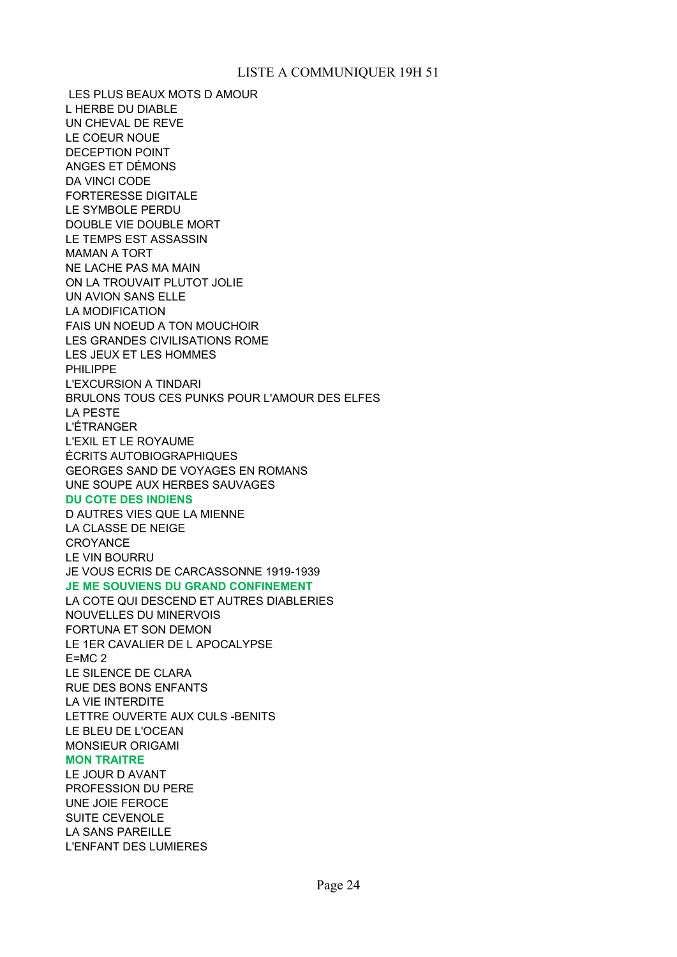LES PLUS BEAUX MOTS D AMOUR L HERBE DU DIABLE UN CHEVAL DE REVE LE COEUR NOUE DECEPTION POINT ANGES ET DÉMONS DA VINCI CODE FORTERESSE DIGITALE LE SYMBOLE PERDU DOUBLE VIE DOUBLE MORT LE TEMPS EST ASSASSIN MAMAN A TORT NE LACHE PAS MA MAIN ON LA TROUVAIT PLUTOT JOLIE UN AVION SANS ELLE LA MODIFICATION FAIS UN NOEUD A TON MOUCHOIR LES GRANDES CIVILISATIONS ROME LES JEUX ET LES HOMMES PHILIPPE L'EXCURSION A TINDARI BRULONS TOUS CES PUNKS POUR L'AMOUR DES ELFES LA PESTE L'ÉTRANGER L'EXIL ET LE ROYAUME ÉCRITS AUTOBIOGRAPHIQUES GEORGES SAND DE VOYAGES EN ROMANS UNE SOUPE AUX HERBES SAUVAGES **DU COTE DES INDIENS** D AUTRES VIES QUE LA MIENNE LA CLASSE DE NEIGE **CROYANCE** LE VIN BOURRU JE VOUS ECRIS DE CARCASSONNE 1919-1939 **JE ME SOUVIENS DU GRAND CONFINEMENT** LA COTE QUI DESCEND ET AUTRES DIABLERIES NOUVELLES DU MINERVOIS FORTUNA ET SON DEMON LE 1ER CAVALIER DE L APOCALYPSE E=MC 2 LE SILENCE DE CLARA RUE DES BONS ENFANTS LA VIE INTERDITE LETTRE OUVERTE AUX CULS -BENITS LE BLEU DE L'OCEAN MONSIEUR ORIGAMI **MON TRAITRE** LE JOUR D AVANT PROFESSION DU PERE UNE JOIE FEROCE SUITE CEVENOLE LA SANS PAREILLE L'ENFANT DES LUMIERES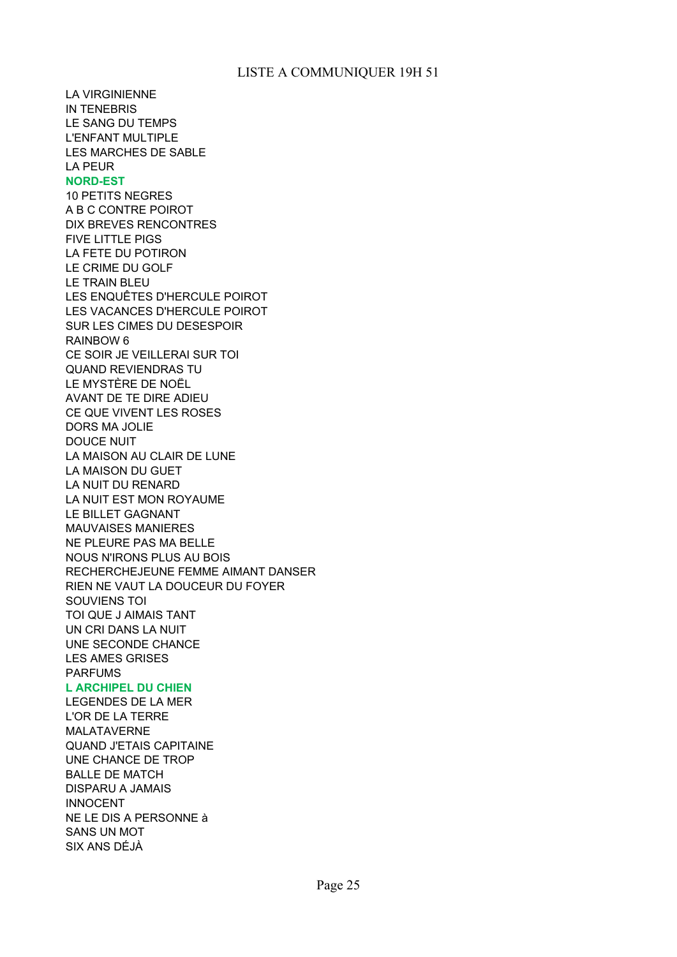LA VIRGINIENNE IN TENEBRIS LE SANG DU TEMPS L'ENFANT MULTIPLE LES MARCHES DE SABLE LA PEUR **NORD-EST** 10 PETITS NEGRES A B C CONTRE POIROT DIX BREVES RENCONTRES FIVE LITTLE PIGS LA FETE DU POTIRON LE CRIME DU GOLF LE TRAIN BLEU LES ENQUÊTES D'HERCULE POIROT LES VACANCES D'HERCULE POIROT SUR LES CIMES DU DESESPOIR RAINBOW 6 CE SOIR JE VEILLERAI SUR TOI QUAND REVIENDRAS TU LE MYSTÈRE DE NOËL AVANT DE TE DIRE ADIEU CE QUE VIVENT LES ROSES DORS MA JOLIE DOUCE NUIT LA MAISON AU CLAIR DE LUNE LA MAISON DU GUET LA NUIT DU RENARD LA NUIT EST MON ROYAUME LE BILLET GAGNANT MAUVAISES MANIERES NE PLEURE PAS MA BELLE NOUS N'IRONS PLUS AU BOIS RECHERCHEJEUNE FEMME AIMANT DANSER RIEN NE VAUT LA DOUCEUR DU FOYER SOUVIENS TOI TOI QUE J AIMAIS TANT UN CRI DANS LA NUIT UNE SECONDE CHANCE LES AMES GRISES PARFUMS **L ARCHIPEL DU CHIEN** LEGENDES DE LA MER

L'OR DE LA TERRE MALATAVERNE QUAND J'ETAIS CAPITAINE UNE CHANCE DE TROP BALLE DE MATCH DISPARU A JAMAIS INNOCENT NE LE DIS A PERSONNE à SANS UN MOT SIX ANS DÉJÀ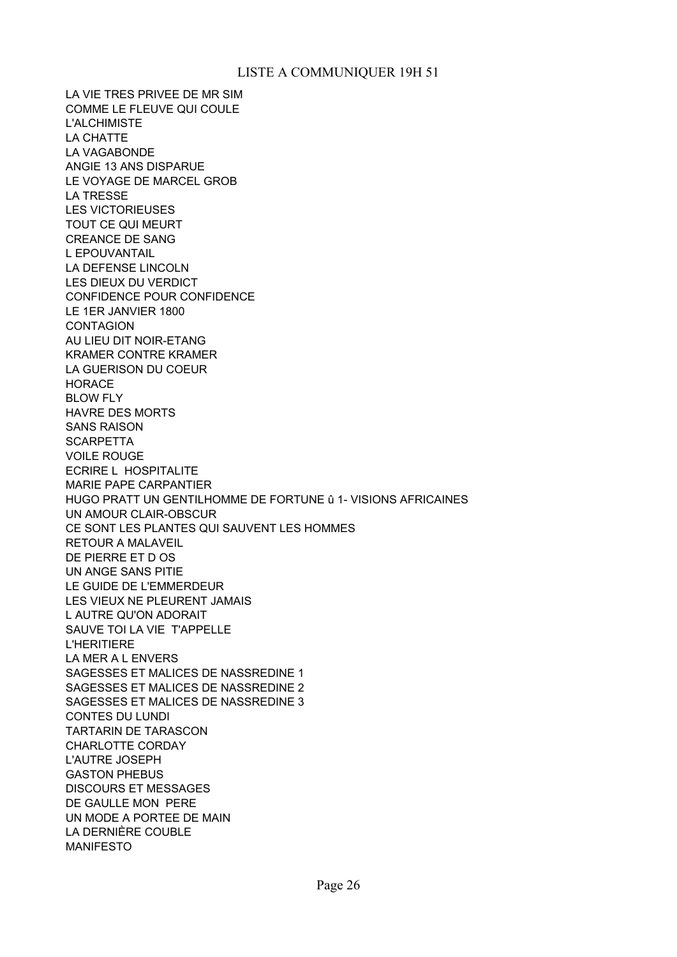LA VIE TRES PRIVEE DE MR SIM COMME LE FLEUVE QUI COULE L'ALCHIMISTE LA CHATTE LA VAGABONDE ANGIE 13 ANS DISPARUE LE VOYAGE DE MARCEL GROB LA TRESSE LES VICTORIEUSES TOUT CE QUI MEURT CREANCE DE SANG L EPOUVANTAIL LA DEFENSE LINCOLN LES DIEUX DU VERDICT CONFIDENCE POUR CONFIDENCE LE 1ER JANVIER 1800 **CONTAGION** AU LIEU DIT NOIR-ETANG KRAMER CONTRE KRAMER LA GUERISON DU COEUR HORACE BLOW FLY HAVRE DES MORTS SANS RAISON **SCARPETTA** VOILE ROUGE ECRIRE L HOSPITALITE MARIE PAPE CARPANTIER HUGO PRATT UN GENTILHOMME DE FORTUNE û 1- VISIONS AFRICAINES UN AMOUR CLAIR-OBSCUR CE SONT LES PLANTES QUI SAUVENT LES HOMMES RETOUR A MALAVEIL DE PIERRE ET D OS UN ANGE SANS PITIE LE GUIDE DE L'EMMERDEUR LES VIEUX NE PLEURENT JAMAIS L AUTRE QU'ON ADORAIT SAUVE TOI LA VIE T'APPELLE L'HERITIERE LA MER A L ENVERS SAGESSES ET MALICES DE NASSREDINE 1 SAGESSES ET MALICES DE NASSREDINE 2 SAGESSES ET MALICES DE NASSREDINE 3 CONTES DU LUNDI TARTARIN DE TARASCON CHARLOTTE CORDAY L'AUTRE JOSEPH GASTON PHEBUS DISCOURS ET MESSAGES DE GAULLE MON PERE UN MODE A PORTEE DE MAIN LA DERNIÈRE COUBLE MANIFESTO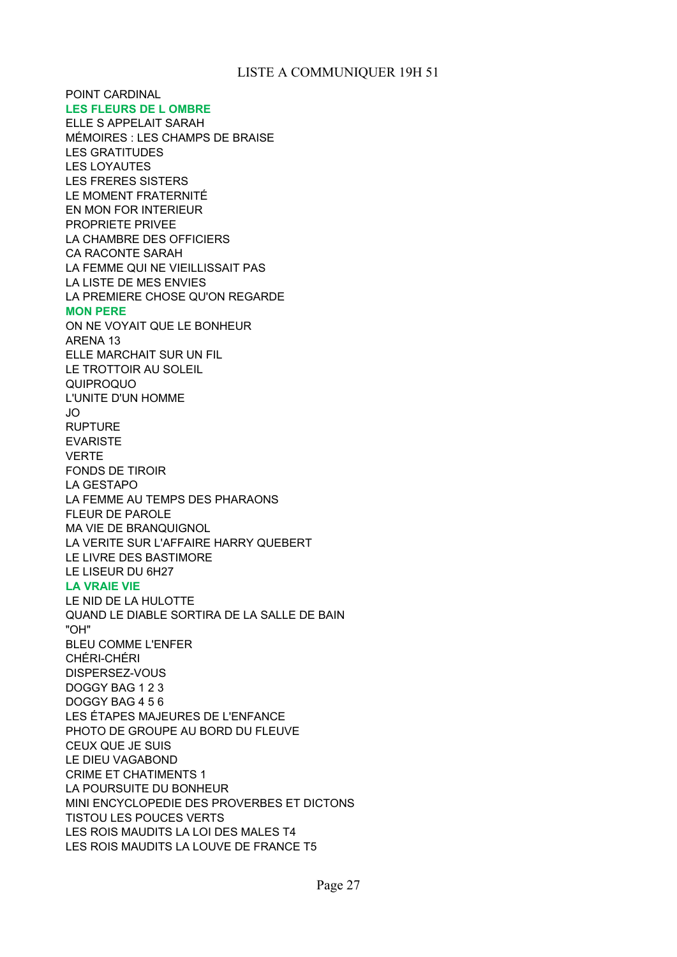POINT CARDINAL **LES FLEURS DE L OMBRE** ELLE S APPELAIT SARAH LES GRATITUDES LES LOYAUTES LES FRERES SISTERS LE MOMENT FRATERNITÉ EN MON FOR INTERIEUR PROPRIETE PRIVEE LA CHAMBRE DES OFFICIERS CA RACONTE SARAH LA FEMME QUI NE VIEILLISSAIT PAS LA LISTE DE MES ENVIES LA PREMIERE CHOSE QU'ON REGARDE **MON PERE** ON NE VOYAIT QUE LE BONHEUR ARENA 13 ELLE MARCHAIT SUR UN FIL LE TROTTOIR AU SOLEIL QUIPROQUO L'UNITE D'UN HOMME JO RUPTURE EVARISTE VERTE FONDS DE TIROIR LA GESTAPO LA FEMME AU TEMPS DES PHARAONS FLEUR DE PAROLE MA VIE DE BRANQUIGNOL LA VERITE SUR L'AFFAIRE HARRY QUEBERT LE LIVRE DES BASTIMORE LE LISEUR DU 6H27 **LA VRAIE VIE** LE NID DE LA HULOTTE QUAND LE DIABLE SORTIRA DE LA SALLE DE BAIN "OH" BLEU COMME L'ENFER CHÉRI-CHÉRI DISPERSEZ-VOUS DOGGY BAG 1 2 3 DOGGY BAG 4 5 6 LES ÉTAPES MAJEURES DE L'ENFANCE PHOTO DE GROUPE AU BORD DU FLEUVE CEUX QUE JE SUIS LE DIEU VAGABOND CRIME ET CHATIMENTS 1 LA POURSUITE DU BONHEUR MINI ENCYCLOPEDIE DES PROVERBES ET DICTONS TISTOU LES POUCES VERTS LES ROIS MAUDITS LA LOI DES MALES T4 LES ROIS MAUDITS LA LOUVE DE FRANCE T5 MÉMOIRES : LES CHAMPS DE BRAISE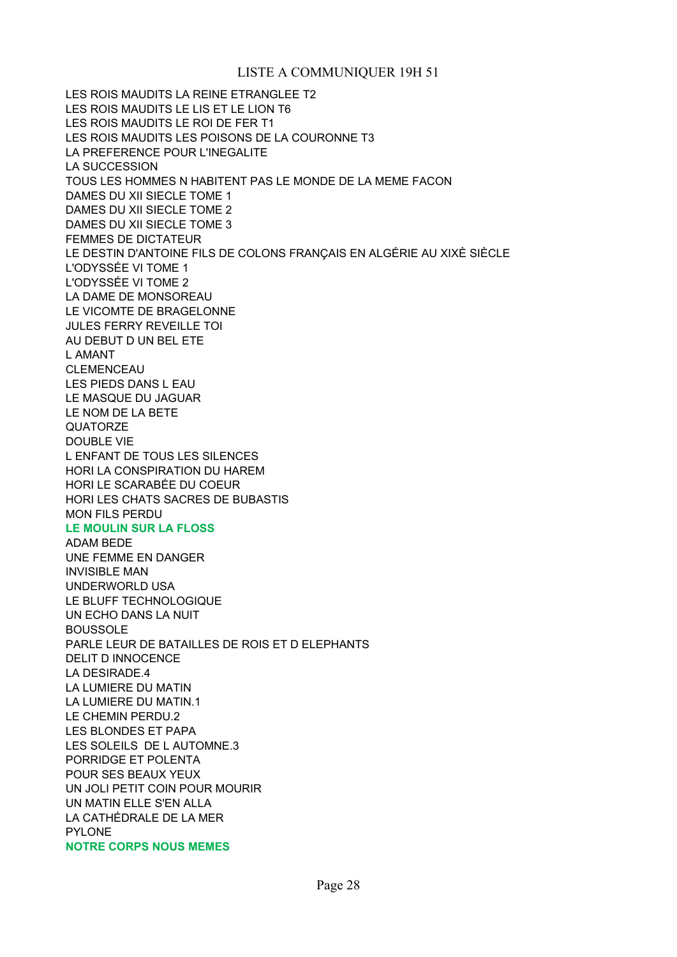LES ROIS MAUDITS LA REINE ETRANGLEE T2 LES ROIS MAUDITS LE LIS ET LE LION T6 LES ROIS MAUDITS LE ROI DE FER T1 LES ROIS MAUDITS LES POISONS DE LA COURONNE T3 LA PREFERENCE POUR L'INEGALITE LA SUCCESSION TOUS LES HOMMES N HABITENT PAS LE MONDE DE LA MEME FACON DAMES DU XII SIECLE TOME 1 DAMES DU XII SIECLE TOME 2 DAMES DU XII SIECLE TOME 3 FEMMES DE DICTATEUR LE DESTIN D'ANTOINE FILS DE COLONS FRANÇAIS EN ALGÉRIE AU XIXÈ SIÈCLE L'ODYSSÉE VI TOME 1 L'ODYSSÉE VI TOME 2 LA DAME DE MONSOREAU LE VICOMTE DE BRAGELONNE JULES FERRY REVEILLE TOI AU DEBUT D UN BEL ETE L AMANT CLEMENCEAU LES PIEDS DANS L EAU LE MASQUE DU JAGUAR LE NOM DE LA BETE **QUATORZE** DOUBLE VIE L ENFANT DE TOUS LES SILENCES HORI LA CONSPIRATION DU HAREM HORI LE SCARABÉE DU COEUR HORI LES CHATS SACRES DE BUBASTIS MON FILS PERDU **LE MOULIN SUR LA FLOSS** ADAM BEDE UNE FEMME EN DANGER INVISIBLE MAN UNDERWORLD USA LE BLUFF TECHNOLOGIQUE UN ECHO DANS LA NUIT BOUSSOLE PARLE LEUR DE BATAILLES DE ROIS ET D ELEPHANTS DELIT D INNOCENCE LA DESIRADE.4 LA LUMIERE DU MATIN LA LUMIERE DU MATIN.1 LE CHEMIN PERDU.2 LES BLONDES ET PAPA LES SOLEILS DE L AUTOMNE.3 PORRIDGE ET POLENTA POUR SES BEAUX YEUX UN JOLI PETIT COIN POUR MOURIR UN MATIN ELLE S'EN ALLA LA CATHÉDRALE DE LA MER PYLONE **NOTRE CORPS NOUS MEMES**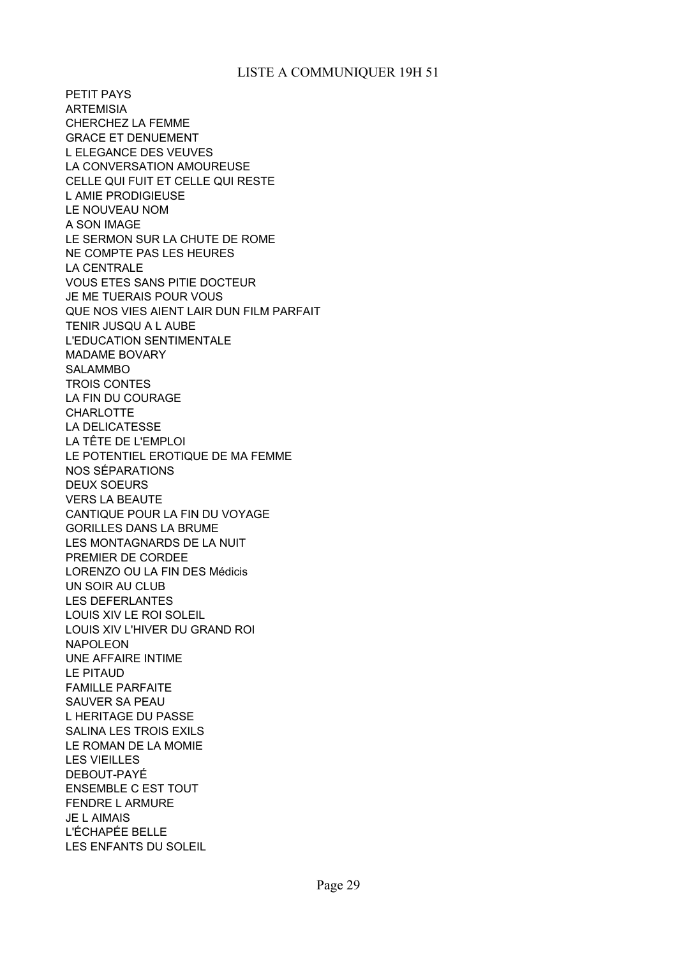PETIT PAYS ARTEMISIA CHERCHEZ LA FEMME GRACE ET DENUEMENT L ELEGANCE DES VEUVES LA CONVERSATION AMOUREUSE CELLE QUI FUIT ET CELLE QUI RESTE L AMIE PRODIGIEUSE LE NOUVEAU NOM A SON IMAGE LE SERMON SUR LA CHUTE DE ROME NE COMPTE PAS LES HEURES LA CENTRALE VOUS ETES SANS PITIE DOCTEUR JE ME TUERAIS POUR VOUS QUE NOS VIES AIENT LAIR DUN FILM PARFAIT TENIR JUSQU A L AUBE L'EDUCATION SENTIMENTALE MADAME BOVARY SALAMMBO TROIS CONTES LA FIN DU COURAGE **CHARLOTTE** LA DELICATESSE LA TÊTE DE L'EMPLOI LE POTENTIEL EROTIQUE DE MA FEMME NOS SÉPARATIONS DEUX SOEURS VERS LA BEAUTE CANTIQUE POUR LA FIN DU VOYAGE GORILLES DANS LA BRUME LES MONTAGNARDS DE LA NUIT PREMIER DE CORDEE LORENZO OU LA FIN DES Médicis UN SOIR AU CLUB LES DEFERLANTES LOUIS XIV LE ROI SOLEIL LOUIS XIV L'HIVER DU GRAND ROI NAPOLEON UNE AFFAIRE INTIME LE PITAUD FAMILLE PARFAITE SAUVER SA PEAU L HERITAGE DU PASSE SALINA LES TROIS EXILS LE ROMAN DE LA MOMIE LES VIEILLES DEBOUT-PAYÉ ENSEMBLE C EST TOUT FENDRE L ARMURE JE L AIMAIS L'ÉCHAPÉE BELLE LES ENFANTS DU SOLEIL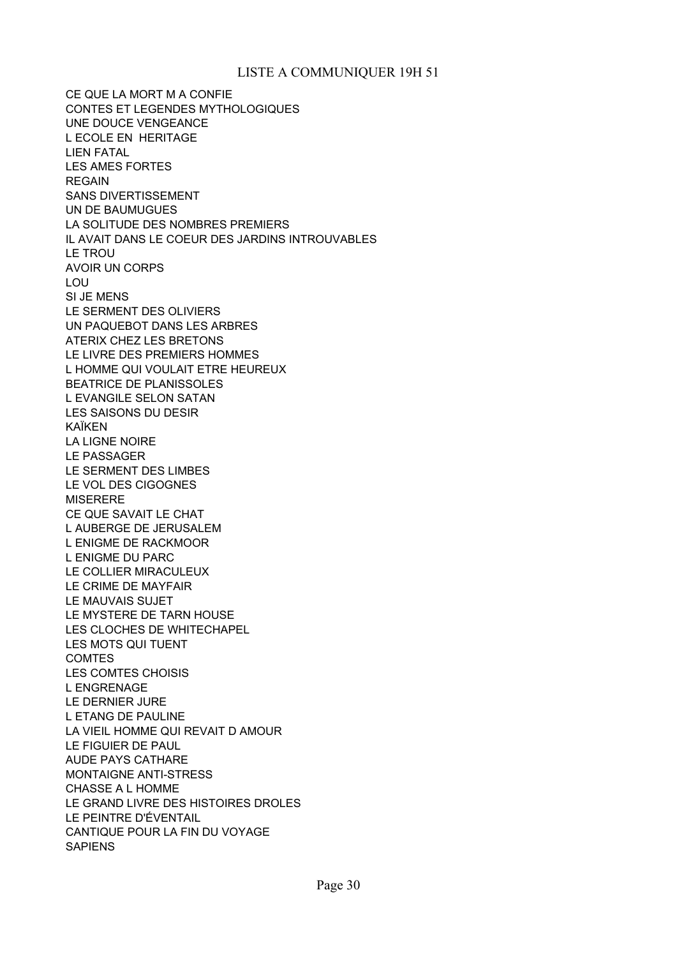CE QUE LA MORT M A CONFIE CONTES ET LEGENDES MYTHOLOGIQUES UNE DOUCE VENGEANCE L ECOLE EN HERITAGE LIEN FATAL LES AMES FORTES REGAIN SANS DIVERTISSEMENT UN DE BAUMUGUES LA SOLITUDE DES NOMBRES PREMIERS IL AVAIT DANS LE COEUR DES JARDINS INTROUVABLES LE TROU AVOIR UN CORPS LOU SI JE MENS LE SERMENT DES OLIVIERS UN PAQUEBOT DANS LES ARBRES ATERIX CHEZ LES BRETONS LE LIVRE DES PREMIERS HOMMES L HOMME QUI VOULAIT ETRE HEUREUX BEATRICE DE PLANISSOLES L EVANGILE SELON SATAN LES SAISONS DU DESIR KAÏKEN LA LIGNE NOIRE LE PASSAGER LE SERMENT DES LIMBES LE VOL DES CIGOGNES **MISERERE** CE QUE SAVAIT LE CHAT L AUBERGE DE JERUSALEM L ENIGME DE RACKMOOR L ENIGME DU PARC LE COLLIER MIRACULEUX LE CRIME DE MAYFAIR LE MAUVAIS SUJET LE MYSTERE DE TARN HOUSE LES CLOCHES DE WHITECHAPEL LES MOTS QUI TUENT COMTES LES COMTES CHOISIS L ENGRENAGE LE DERNIER JURE L ETANG DE PAULINE LA VIEIL HOMME QUI REVAIT D AMOUR LE FIGUIER DE PAUL AUDE PAYS CATHARE MONTAIGNE ANTI-STRESS CHASSE A L HOMME LE GRAND LIVRE DES HISTOIRES DROLES LE PEINTRE D'ÉVENTAIL CANTIQUE POUR LA FIN DU VOYAGE SAPIENS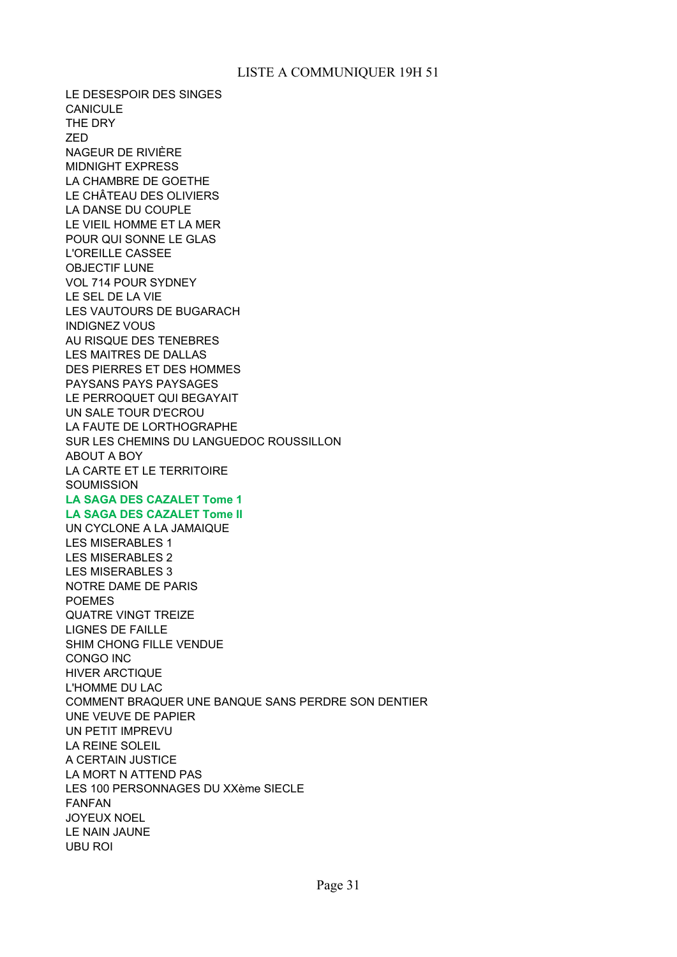LE DESESPOIR DES SINGES CANICULE THE DRY ZED NAGEUR DE RIVIÈRE MIDNIGHT EXPRESS LA CHAMBRE DE GOETHE LE CHÂTEAU DES OLIVIERS LA DANSE DU COUPLE LE VIEIL HOMME ET LA MER POUR QUI SONNE LE GLAS L'OREILLE CASSEE OBJECTIF LUNE VOL 714 POUR SYDNEY LE SEL DE LA VIE LES VAUTOURS DE BUGARACH INDIGNEZ VOUS AU RISQUE DES TENEBRES LES MAITRES DE DALLAS DES PIERRES ET DES HOMMES PAYSANS PAYS PAYSAGES LE PERROQUET QUI BEGAYAIT UN SALE TOUR D'ECROU LA FAUTE DE LORTHOGRAPHE SUR LES CHEMINS DU LANGUEDOC ROUSSILLON ABOUT A BOY LA CARTE ET LE TERRITOIRE **SOUMISSION LA SAGA DES CAZALET Tome 1 LA SAGA DES CAZALET Tome II** UN CYCLONE A LA JAMAIQUE LES MISERABLES 1 LES MISERABLES 2 LES MISERABLES 3 NOTRE DAME DE PARIS POEMES QUATRE VINGT TREIZE LIGNES DE FAILLE SHIM CHONG FILLE VENDUE CONGO INC HIVER ARCTIQUE L'HOMME DU LAC COMMENT BRAQUER UNE BANQUE SANS PERDRE SON DENTIER UNE VEUVE DE PAPIER UN PETIT IMPREVU LA REINE SOLEIL A CERTAIN JUSTICE LA MORT N ATTEND PAS LES 100 PERSONNAGES DU XXème SIECLE FANFAN JOYEUX NOEL LE NAIN JAUNE UBU ROI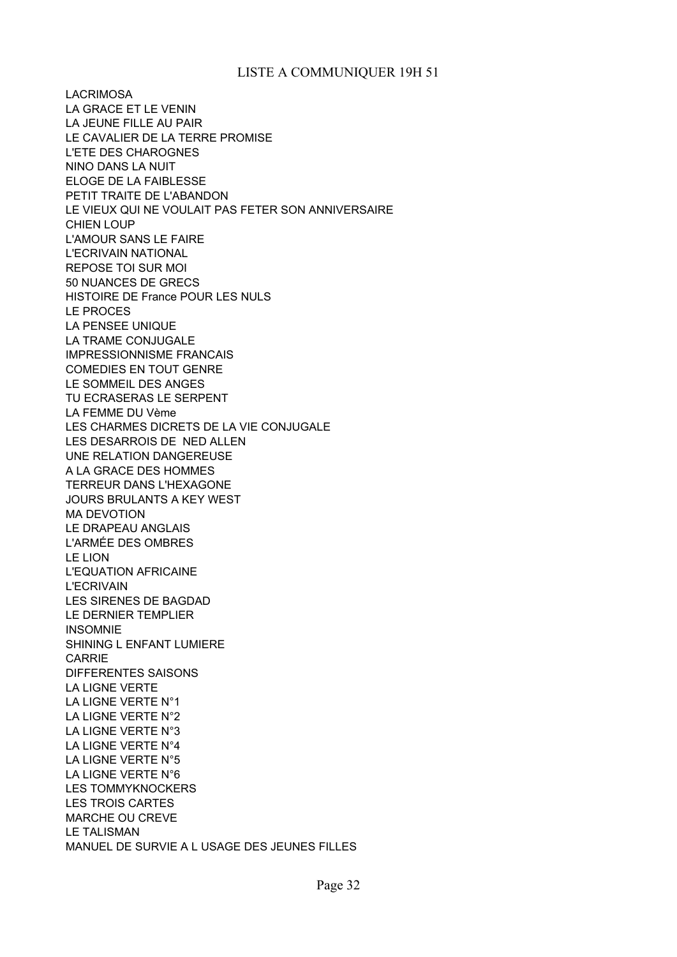LACRIMOSA LA GRACE ET LE VENIN LA JEUNE FILLE AU PAIR LE CAVALIER DE LA TERRE PROMISE L'ETE DES CHAROGNES NINO DANS LA NUIT ELOGE DE LA FAIBLESSE PETIT TRAITE DE L'ABANDON LE VIEUX QUI NE VOULAIT PAS FETER SON ANNIVERSAIRE CHIEN LOUP L'AMOUR SANS LE FAIRE L'ECRIVAIN NATIONAL REPOSE TOI SUR MOI 50 NUANCES DE GRECS HISTOIRE DE France POUR LES NULS LE PROCES LA PENSEE UNIQUE LA TRAME CONJUGALE IMPRESSIONNISME FRANCAIS COMEDIES EN TOUT GENRE LE SOMMEIL DES ANGES TU ECRASERAS LE SERPENT LA FEMME DU Vème LES CHARMES DICRETS DE LA VIE CONJUGALE LES DESARROIS DE NED ALLEN UNE RELATION DANGEREUSE A LA GRACE DES HOMMES TERREUR DANS L'HEXAGONE JOURS BRULANTS A KEY WEST MA DEVOTION LE DRAPEAU ANGLAIS L'ARMÉE DES OMBRES LE LION L'EQUATION AFRICAINE L'ECRIVAIN LES SIRENES DE BAGDAD LE DERNIER TEMPLIER INSOMNIE SHINING L ENFANT LUMIERE CARRIE DIFFERENTES SAISONS LA LIGNE VERTE LA LIGNE VERTE N°1 LA LIGNE VERTE N°2 LA LIGNE VERTE N°3 LA LIGNE VERTE N°4 LA LIGNE VERTE N°5 LA LIGNE VERTE N°6 LES TOMMYKNOCKERS LES TROIS CARTES MARCHE OU CREVE LE TALISMAN MANUEL DE SURVIE A L USAGE DES JEUNES FILLES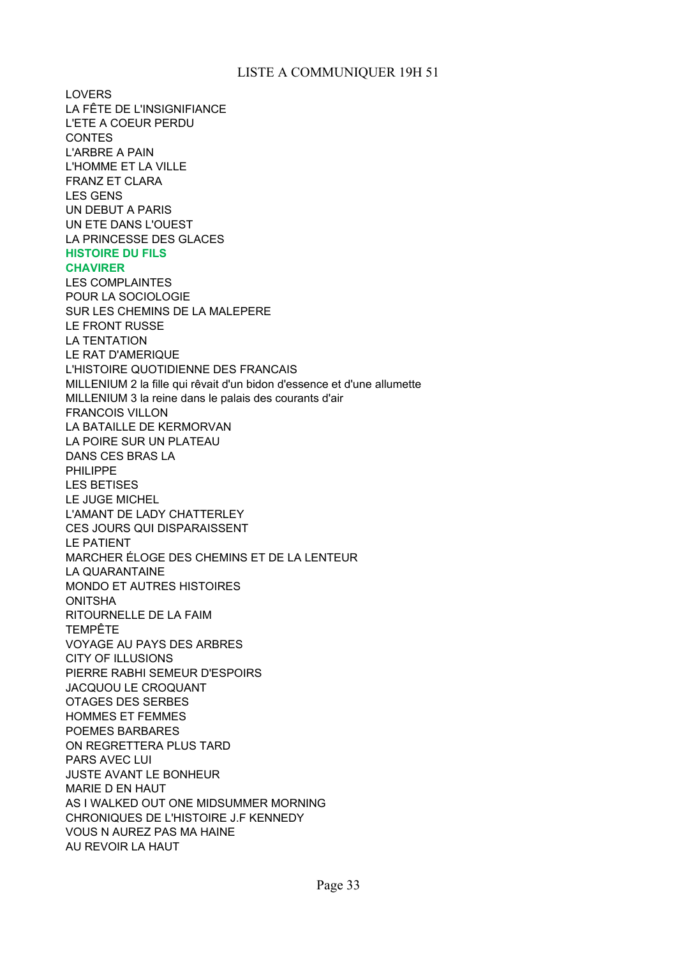LOVERS LA FÊTE DE L'INSIGNIFIANCE L'ETE A COEUR PERDU CONTES L'ARBRE A PAIN L'HOMME ET LA VILLE FRANZ ET CLARA LES GENS UN DEBUT A PARIS UN ETE DANS L'OUEST LA PRINCESSE DES GLACES **HISTOIRE DU FILS CHAVIRER** LES COMPLAINTES POUR LA SOCIOLOGIE SUR LES CHEMINS DE LA MALEPERE LE FRONT RUSSE LA TENTATION LE RAT D'AMERIQUE L'HISTOIRE QUOTIDIENNE DES FRANCAIS MILLENIUM 2 la fille qui rêvait d'un bidon d'essence et d'une allumette MILLENIUM 3 la reine dans le palais des courants d'air FRANCOIS VILLON LA BATAILLE DE KERMORVAN LA POIRE SUR UN PLATEAU DANS CES BRAS LA PHILIPPE LES BETISES LE JUGE MICHEL L'AMANT DE LADY CHATTERLEY CES JOURS QUI DISPARAISSENT LE PATIENT MARCHER ÉLOGE DES CHEMINS ET DE LA LENTEUR LA QUARANTAINE MONDO ET AUTRES HISTOIRES ONITSHA RITOURNELLE DE LA FAIM TEMPÊTE VOYAGE AU PAYS DES ARBRES CITY OF ILLUSIONS PIERRE RABHI SEMEUR D'ESPOIRS JACQUOU LE CROQUANT OTAGES DES SERBES HOMMES ET FEMMES POEMES BARBARES ON REGRETTERA PLUS TARD PARS AVEC LUI JUSTE AVANT LE BONHEUR MARIE D EN HAUT AS I WALKED OUT ONE MIDSUMMER MORNING CHRONIQUES DE L'HISTOIRE J.F KENNEDY VOUS N AUREZ PAS MA HAINE AU REVOIR LA HAUT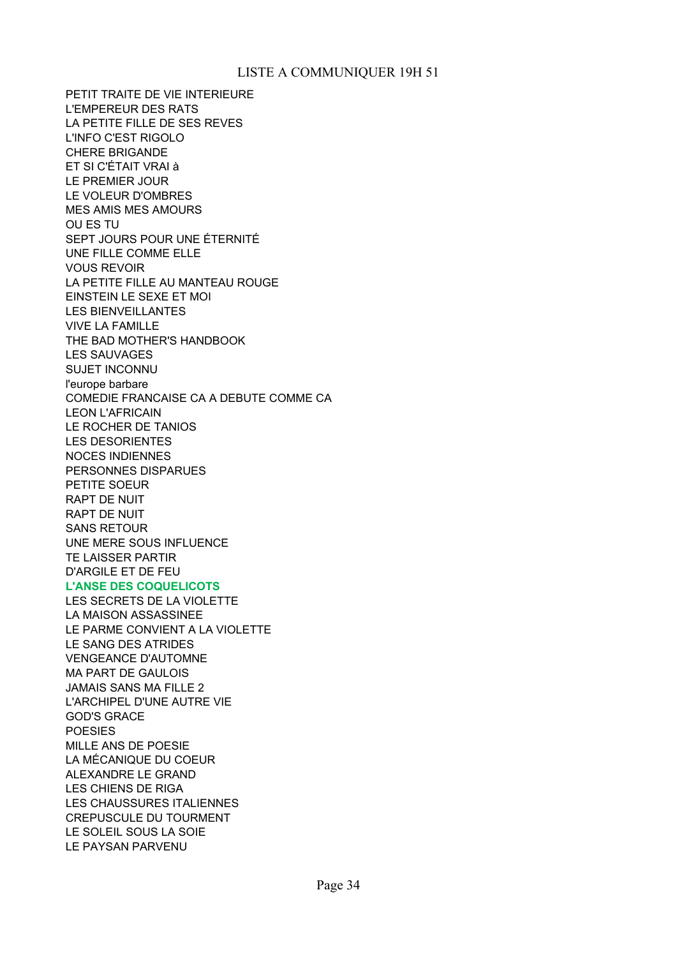PETIT TRAITE DE VIE INTERIEURE L'EMPEREUR DES RATS LA PETITE FILLE DE SES REVES L'INFO C'EST RIGOLO CHERE BRIGANDE ET SI C'ÉTAIT VRAI à LE PREMIER JOUR LE VOLEUR D'OMBRES MES AMIS MES AMOURS OU ES TU SEPT JOURS POUR UNE ÉTERNITÉ UNE FILLE COMME ELLE VOUS REVOIR LA PETITE FILLE AU MANTEAU ROUGE EINSTEIN LE SEXE ET MOI LES BIENVEILLANTES VIVE LA FAMILLE THE BAD MOTHER'S HANDBOOK LES SAUVAGES SUJET INCONNU l'europe barbare COMEDIE FRANCAISE CA A DEBUTE COMME CA LEON L'AFRICAIN LE ROCHER DE TANIOS LES DESORIENTES NOCES INDIENNES PERSONNES DISPARUES PETITE SOEUR RAPT DE NUIT RAPT DE NUIT SANS RETOUR UNE MERE SOUS INFLUENCE TE LAISSER PARTIR D'ARGILE ET DE FEU **L'ANSE DES COQUELICOTS** LES SECRETS DE LA VIOLETTE

LA MAISON ASSASSINEE LE PARME CONVIENT A LA VIOLETTE LE SANG DES ATRIDES VENGEANCE D'AUTOMNE MA PART DE GAULOIS JAMAIS SANS MA FILLE 2 L'ARCHIPEL D'UNE AUTRE VIE GOD'S GRACE POESIES MILLE ANS DE POESIE LA MÉCANIQUE DU COEUR ALEXANDRE LE GRAND LES CHIENS DE RIGA LES CHAUSSURES ITALIENNES CREPUSCULE DU TOURMENT LE SOLEIL SOUS LA SOIE LE PAYSAN PARVENU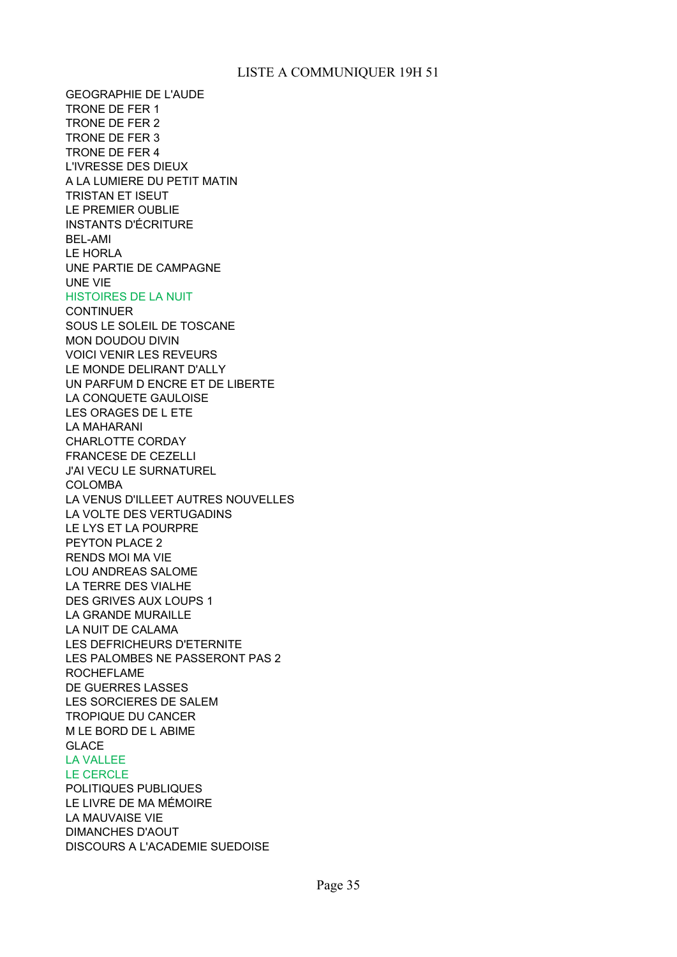GEOGRAPHIE DE L'AUDE TRONE DE FER 1 TRONE DE FER 2 TRONE DE FER 3 TRONE DE FER 4 L'IVRESSE DES DIEUX A LA LUMIERE DU PETIT MATIN TRISTAN ET ISEUT LE PREMIER OUBLIE INSTANTS D'ÉCRITURE BEL-AMI LE HORLA UNE PARTIE DE CAMPAGNE UNE VIE HISTOIRES DE LA NUIT **CONTINUER** SOUS LE SOLEIL DE TOSCANE MON DOUDOU DIVIN VOICI VENIR LES REVEURS LE MONDE DELIRANT D'ALLY UN PARFUM D ENCRE ET DE LIBERTE LA CONQUETE GAULOISE LES ORAGES DE L ETE LA MAHARANI CHARLOTTE CORDAY FRANCESE DE CEZELLI J'AI VECU LE SURNATUREL COLOMBA LA VENUS D'ILLEET AUTRES NOUVELLES LA VOLTE DES VERTUGADINS LE LYS ET LA POURPRE PEYTON PLACE 2 RENDS MOI MA VIE LOU ANDREAS SALOME LA TERRE DES VIALHE DES GRIVES AUX LOUPS 1 LA GRANDE MURAILLE LA NUIT DE CALAMA LES DEFRICHEURS D'ETERNITE LES PALOMBES NE PASSERONT PAS 2 ROCHEFLAME DE GUERRES LASSES LES SORCIERES DE SALEM TROPIQUE DU CANCER M LE BORD DE L ABIME GLACE LA VALLEE LE CERCLE POLITIQUES PUBLIQUES LE LIVRE DE MA MÉMOIRE LA MAUVAISE VIE DIMANCHES D'AOUT DISCOURS A L'ACADEMIE SUEDOISE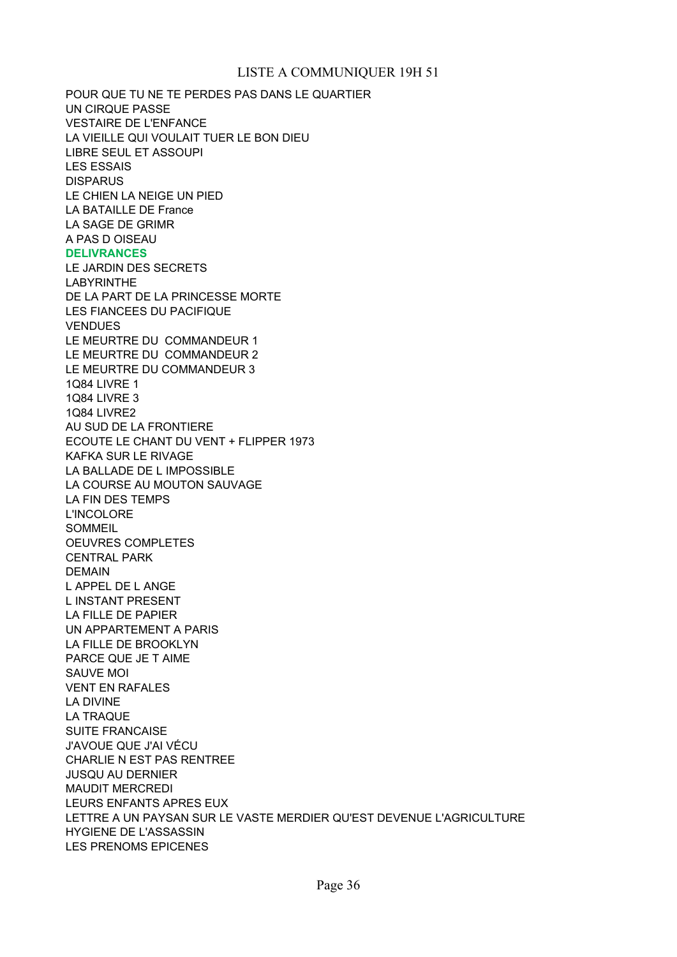POUR QUE TU NE TE PERDES PAS DANS LE QUARTIER UN CIRQUE PASSE VESTAIRE DE L'ENFANCE LA VIEILLE QUI VOULAIT TUER LE BON DIEU LIBRE SEUL ET ASSOUPI LES ESSAIS **DISPARUS** LA BATAILLE DE France LA SAGE DE GRIMR A PAS D OISEAU **DELIVRANCES** LE JARDIN DES SECRETS LABYRINTHE DE LA PART DE LA PRINCESSE MORTE LES FIANCEES DU PACIFIQUE **VENDUES** LE MEURTRE DU COMMANDEUR 1 LE MEURTRE DU COMMANDEUR 2 LE MEURTRE DU COMMANDEUR 3 1Q84 LIVRE 1 1Q84 LIVRE 3 1Q84 LIVRE2 AU SUD DE LA FRONTIERE ECOUTE LE CHANT DU VENT + FLIPPER 1973 KAFKA SUR LE RIVAGE LA BALLADE DE L IMPOSSIBLE LA COURSE AU MOUTON SAUVAGE LA FIN DES TEMPS L'INCOLORE SOMMEIL OEUVRES COMPLETES CENTRAL PARK DEMAIN L APPEL DE L ANGE L INSTANT PRESENT LA FILLE DE PAPIER UN APPARTEMENT A PARIS LA FILLE DE BROOKLYN PARCE QUE JE T AIME SAUVE MOI VENT EN RAFALES LA DIVINE LA TRAQUE SUITE FRANCAISE J'AVOUE QUE J'AI VÉCU CHARLIE N EST PAS RENTREE JUSQU AU DERNIER MAUDIT MERCREDI LEURS ENFANTS APRES EUX LETTRE A UN PAYSAN SUR LE VASTE MERDIER QU'EST DEVENUE L'AGRICULTURE HYGIENE DE L'ASSASSIN LES PRENOMS EPICENES LE CHIEN LA NEIGE UN PIED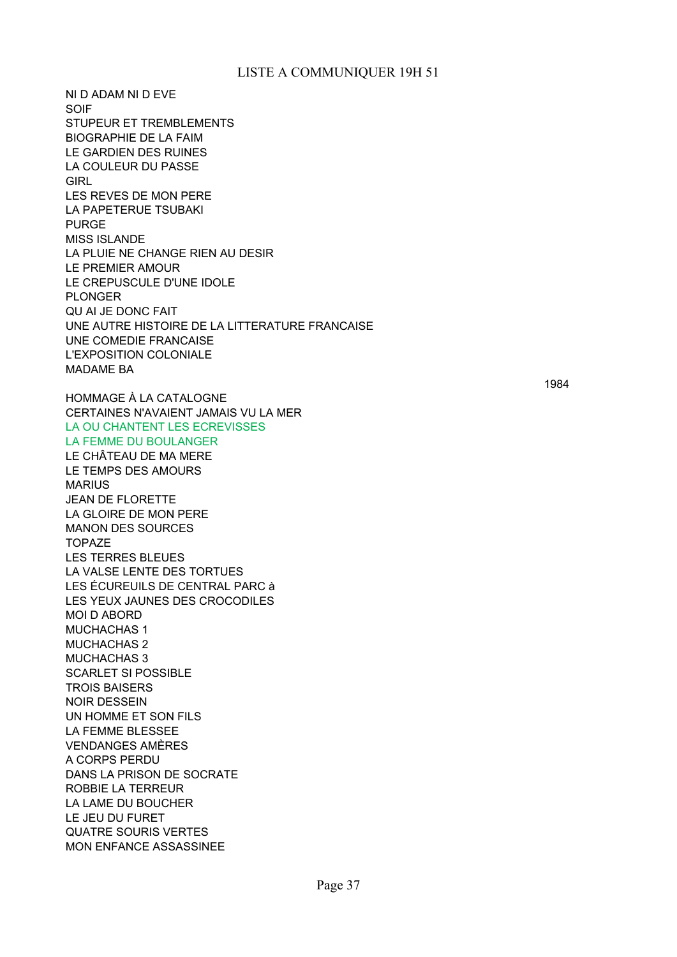NI D ADAM NI D EVE SOIF STUPEUR ET TREMBLEMENTS BIOGRAPHIE DE LA FAIM LE GARDIEN DES RUINES LA COULEUR DU PASSE **GIRL** LES REVES DE MON PERE LA PAPETERUE TSUBAKI PURGE MISS ISLANDE LA PLUIE NE CHANGE RIEN AU DESIR LE PREMIER AMOUR LE CREPUSCULE D'UNE IDOLE PLONGER QU AI JE DONC FAIT UNE AUTRE HISTOIRE DE LA LITTERATURE FRANCAISE UNE COMEDIE FRANCAISE L'EXPOSITION COLONIALE MADAME BA HOMMAGE À LA CATALOGNE CERTAINES N'AVAIENT JAMAIS VU LA MER LA OU CHANTENT LES ECREVISSES LA FEMME DU BOULANGER LE CHÂTEAU DE MA MERE LE TEMPS DES AMOURS MARIUS JEAN DE FLORETTE LA GLOIRE DE MON PERE MANON DES SOURCES TOPAZE LES TERRES BLEUES LA VALSE LENTE DES TORTUES LES ÉCUREUILS DE CENTRAL PARC à LES YEUX JAUNES DES CROCODILES MOI D ABORD MUCHACHAS 1 MUCHACHAS 2 MUCHACHAS 3 SCARLET SI POSSIBLE TROIS BAISERS NOIR DESSEIN UN HOMME ET SON FILS LA FEMME BLESSEE VENDANGES AMÈRES A CORPS PERDU DANS LA PRISON DE SOCRATE ROBBIE LA TERREUR LA LAME DU BOUCHER LE JEU DU FURET QUATRE SOURIS VERTES MON ENFANCE ASSASSINEE

1984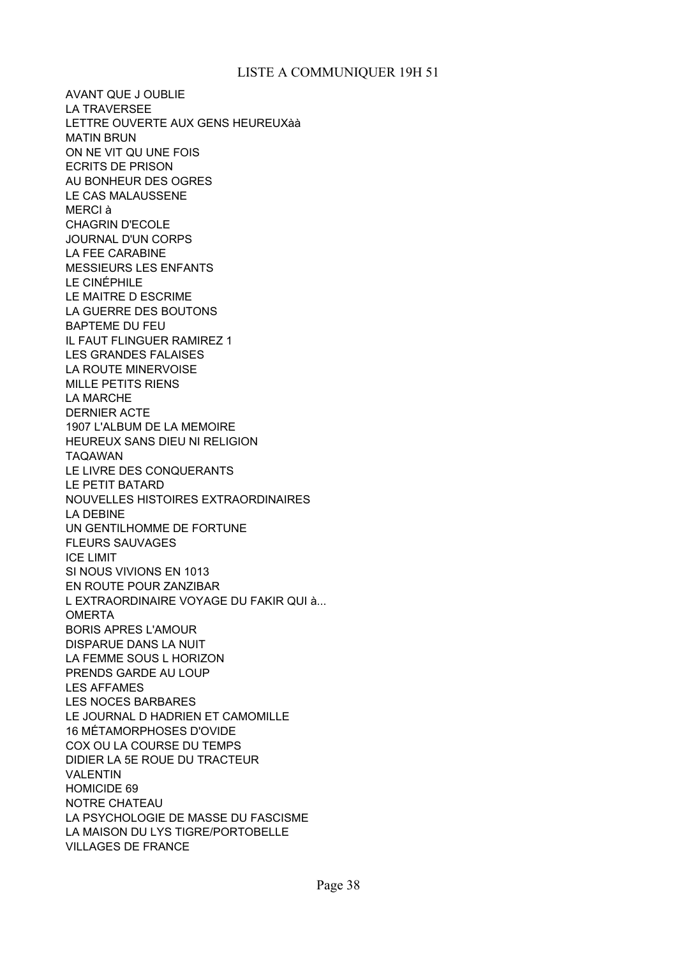AVANT QUE J OUBLIE LA TRAVERSEE LETTRE OUVERTE AUX GENS HEUREUXàà MATIN BRUN ON NE VIT QU UNE FOIS ECRITS DE PRISON AU BONHEUR DES OGRES LE CAS MALAUSSENE MERCI à CHAGRIN D'ECOLE JOURNAL D'UN CORPS LA FEE CARABINE MESSIEURS LES ENFANTS LE CINÉPHILE LE MAITRE D ESCRIME LA GUERRE DES BOUTONS BAPTEME DU FEU IL FAUT FLINGUER RAMIREZ 1 LES GRANDES FALAISES LA ROUTE MINERVOISE MILLE PETITS RIENS LA MARCHE DERNIER ACTE 1907 L'ALBUM DE LA MEMOIRE HEUREUX SANS DIEU NI RELIGION TAQAWAN LE LIVRE DES CONQUERANTS LE PETIT BATARD NOUVELLES HISTOIRES EXTRAORDINAIRES LA DEBINE UN GENTILHOMME DE FORTUNE FLEURS SAUVAGES ICE LIMIT SI NOUS VIVIONS EN 1013 EN ROUTE POUR ZANZIBAR OMERTA BORIS APRES L'AMOUR DISPARUE DANS LA NUIT LA FEMME SOUS L HORIZON PRENDS GARDE AU LOUP LES AFFAMES LES NOCES BARBARES LE JOURNAL D HADRIEN ET CAMOMILLE 16 MÉTAMORPHOSES D'OVIDE COX OU LA COURSE DU TEMPS DIDIER LA 5E ROUE DU TRACTEUR VALENTIN HOMICIDE 69 NOTRE CHATEAU LA PSYCHOLOGIE DE MASSE DU FASCISME LA MAISON DU LYS TIGRE/PORTOBELLE VILLAGES DE FRANCE L EXTRAORDINAIRE VOYAGE DU FAKIR QUI à...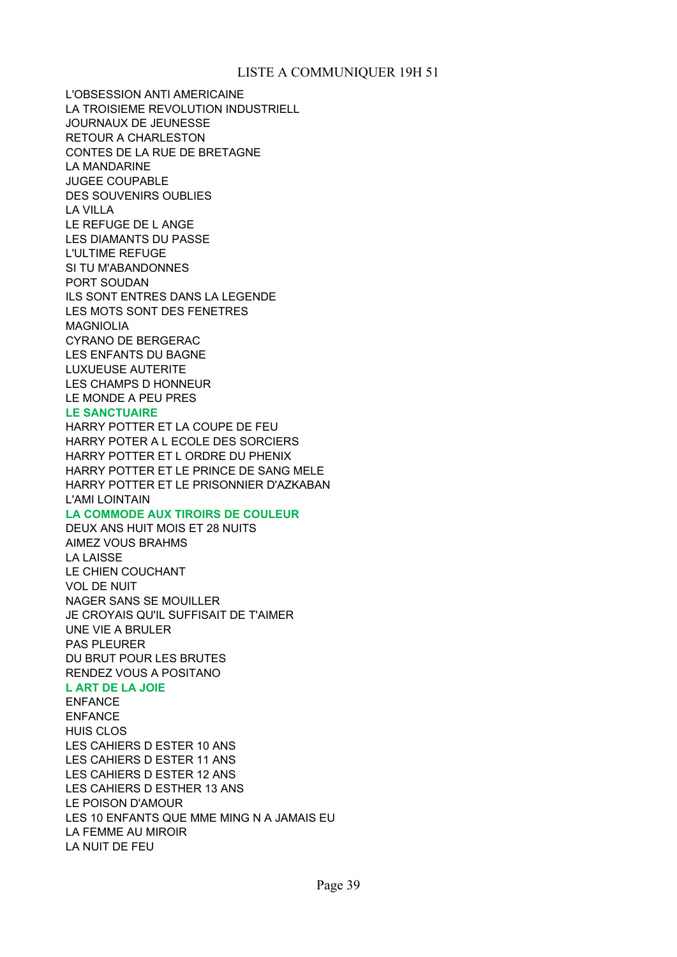L'OBSESSION ANTI AMERICAINE LA TROISIEME REVOLUTION INDUSTRIELL JOURNAUX DE JEUNESSE RETOUR A CHARLESTON CONTES DE LA RUE DE BRETAGNE LA MANDARINE JUGEE COUPABLE DES SOUVENIRS OUBLIES LA VILLA LE REFUGE DE L ANGE LES DIAMANTS DU PASSE L'ULTIME REFUGE SI TU M'ABANDONNES PORT SOUDAN ILS SONT ENTRES DANS LA LEGENDE LES MOTS SONT DES FENETRES MAGNIOLIA CYRANO DE BERGERAC LES ENFANTS DU BAGNE LUXUEUSE AUTERITE LES CHAMPS D HONNEUR LE MONDE A PEU PRES

#### **LE SANCTUAIRE**

HARRY POTTER ET LA COUPE DE FEU HARRY POTER A L ECOLE DES SORCIERS HARRY POTTER ET L ORDRE DU PHENIX HARRY POTTER ET LE PRINCE DE SANG MELE HARRY POTTER ET LE PRISONNIER D'AZKABAN L'AMI LOINTAIN

#### **LA COMMODE AUX TIROIRS DE COULEUR**

DEUX ANS HUIT MOIS ET 28 NUITS AIMEZ VOUS BRAHMS LA LAISSE LE CHIEN COUCHANT VOL DE NUIT NAGER SANS SE MOUILLER JE CROYAIS QU'IL SUFFISAIT DE T'AIMER UNE VIE A BRULER PAS PLEURER DU BRUT POUR LES BRUTES RENDEZ VOUS A POSITANO

#### **L ART DE LA JOIE**

ENFANCE ENFANCE HUIS CLOS LES CAHIERS D ESTER 10 ANS LES CAHIERS D ESTER 11 ANS LES CAHIERS D ESTER 12 ANS LES CAHIERS D ESTHER 13 ANS LE POISON D'AMOUR LES 10 ENFANTS QUE MME MING N A JAMAIS EU LA FEMME AU MIROIR LA NUIT DE FEU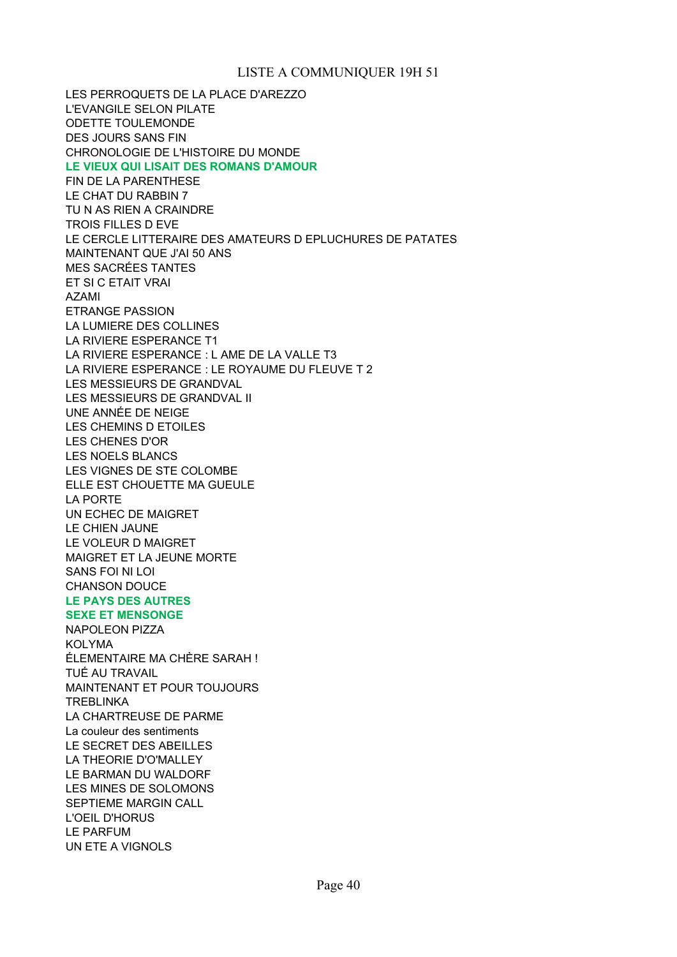LES PERROQUETS DE LA PLACE D'AREZZO L'EVANGILE SELON PILATE ODETTE TOULEMONDE DES JOURS SANS FIN CHRONOLOGIE DE L'HISTOIRE DU MONDE **LE VIEUX QUI LISAIT DES ROMANS D'AMOUR** FIN DE LA PARENTHESE LE CHAT DU RABBIN 7 TU N AS RIEN A CRAINDRE TROIS FILLES D EVE LE CERCLE LITTERAIRE DES AMATEURS D EPLUCHURES DE PATATES MAINTENANT QUE J'AI 50 ANS MES SACRÉES TANTES ET SI C ETAIT VRAI AZAMI ETRANGE PASSION LA LUMIERE DES COLLINES LA RIVIERE ESPERANCE T1 LES MESSIEURS DE GRANDVAL LES MESSIEURS DE GRANDVAL II UNE ANNÉE DE NEIGE LES CHEMINS D ETOILES LES CHENES D'OR LES NOELS BLANCS LES VIGNES DE STE COLOMBE ELLE EST CHOUETTE MA GUEULE LA PORTE UN ECHEC DE MAIGRET LE CHIEN JAUNE LE VOLEUR D MAIGRET MAIGRET ET LA JEUNE MORTE SANS FOI NI LOI CHANSON DOUCE **LE PAYS DES AUTRES SEXE ET MENSONGE** NAPOLEON PIZZA KOLYMA TUÉ AU TRAVAIL MAINTENANT ET POUR TOUJOURS **TREBLINKA** LA CHARTREUSE DE PARME La couleur des sentiments LE SECRET DES ABEILLES LA THEORIE D'O'MALLEY LE BARMAN DU WALDORF LES MINES DE SOLOMONS SEPTIEME MARGIN CALL L'OEIL D'HORUS LE PARFUM UN ETE A VIGNOLS LA RIVIERE ESPERANCE : L AME DE LA VALLE T3 LA RIVIERE ESPERANCE : LE ROYAUME DU FLEUVE T 2 ÉLEMENTAIRE MA CHÈRE SARAH !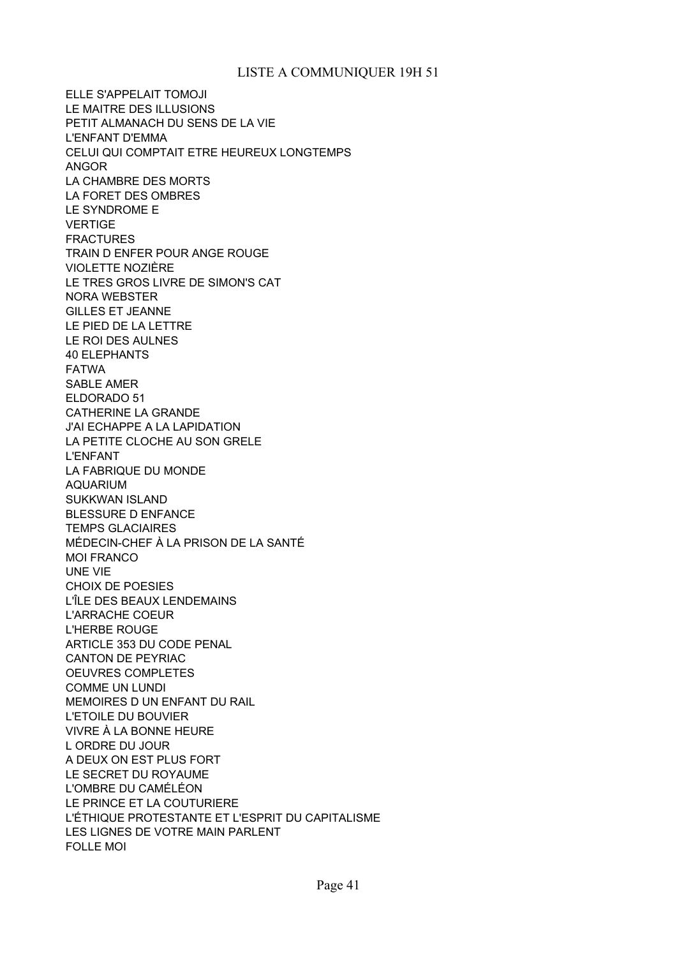ELLE S'APPELAIT TOMOJI LE MAITRE DES ILLUSIONS PETIT ALMANACH DU SENS DE LA VIE L'ENFANT D'EMMA CELUI QUI COMPTAIT ETRE HEUREUX LONGTEMPS ANGOR LA CHAMBRE DES MORTS LA FORET DES OMBRES LE SYNDROME E VERTIGE FRACTURES TRAIN D ENFER POUR ANGE ROUGE VIOLETTE NOZIÈRE LE TRES GROS LIVRE DE SIMON'S CAT NORA WEBSTER GILLES ET JEANNE LE PIED DE LA LETTRE LE ROI DES AULNES 40 ELEPHANTS FATWA SABLE AMER ELDORADO 51 CATHERINE LA GRANDE J'AI ECHAPPE A LA LAPIDATION LA PETITE CLOCHE AU SON GRELE L'ENFANT LA FABRIQUE DU MONDE AQUARIUM SUKKWAN ISLAND BLESSURE D ENFANCE TEMPS GLACIAIRES MÉDECIN-CHEF À LA PRISON DE LA SANTÉ MOI FRANCO UNE VIE CHOIX DE POESIES L'ÎLE DES BEAUX LENDEMAINS L'ARRACHE COEUR L'HERBE ROUGE ARTICLE 353 DU CODE PENAL CANTON DE PEYRIAC OEUVRES COMPLETES COMME UN LUNDI MEMOIRES D UN ENFANT DU RAIL L'ETOILE DU BOUVIER VIVRE À LA BONNE HEURE L ORDRE DU JOUR A DEUX ON EST PLUS FORT LE SECRET DU ROYAUME L'OMBRE DU CAMÉLÉON LE PRINCE ET LA COUTURIERE L'ÉTHIQUE PROTESTANTE ET L'ESPRIT DU CAPITALISME LES LIGNES DE VOTRE MAIN PARLENT FOLLE MOI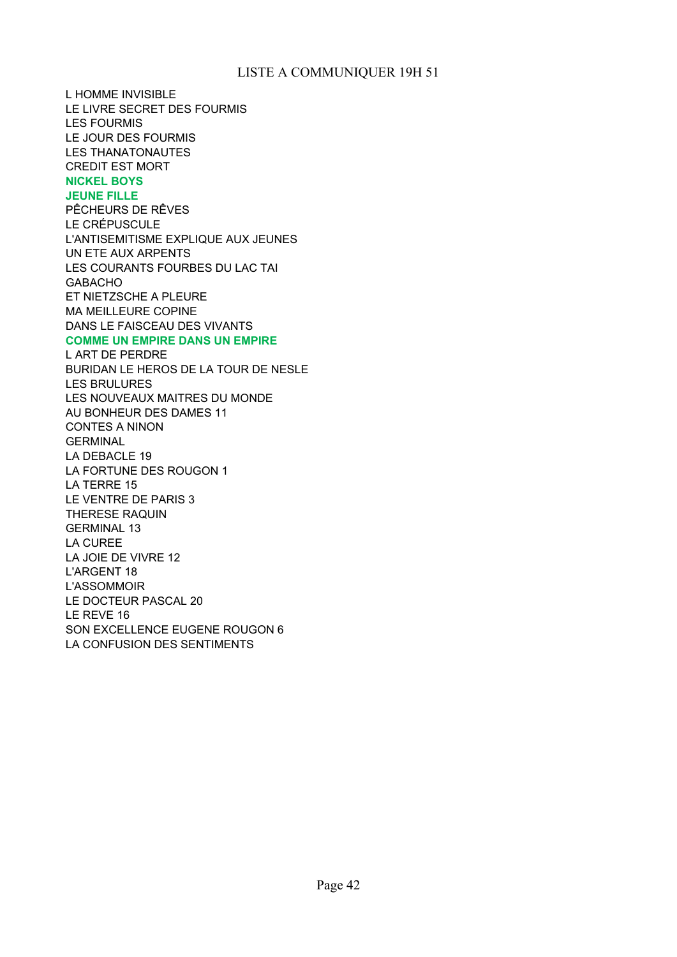L HOMME INVISIBLE LE LIVRE SECRET DES FOURMIS LES FOURMIS LE JOUR DES FOURMIS LES THANATONAUTES CREDIT EST MORT **NICKEL BOYS JEUNE FILLE** PÊCHEURS DE RÊVES LE CRÉPUSCULE L'ANTISEMITISME EXPLIQUE AUX JEUNES UN ETE AUX ARPENTS LES COURANTS FOURBES DU LAC TAI GABACHO ET NIETZSCHE A PLEURE MA MEILLEURE COPINE DANS LE FAISCEAU DES VIVANTS **COMME UN EMPIRE DANS UN EMPIRE** L ART DE PERDRE BURIDAN LE HEROS DE LA TOUR DE NESLE LES BRULURES LES NOUVEAUX MAITRES DU MONDE AU BONHEUR DES DAMES 11 CONTES A NINON **GERMINAL** LA DEBACLE 19 LA FORTUNE DES ROUGON 1 LA TERRE 15 LE VENTRE DE PARIS 3 THERESE RAQUIN GERMINAL 13 LA CUREE LA JOIE DE VIVRE 12 L'ARGENT 18 L'ASSOMMOIR LE DOCTEUR PASCAL 20 LE REVE 16 SON EXCELLENCE EUGENE ROUGON 6 LA CONFUSION DES SENTIMENTS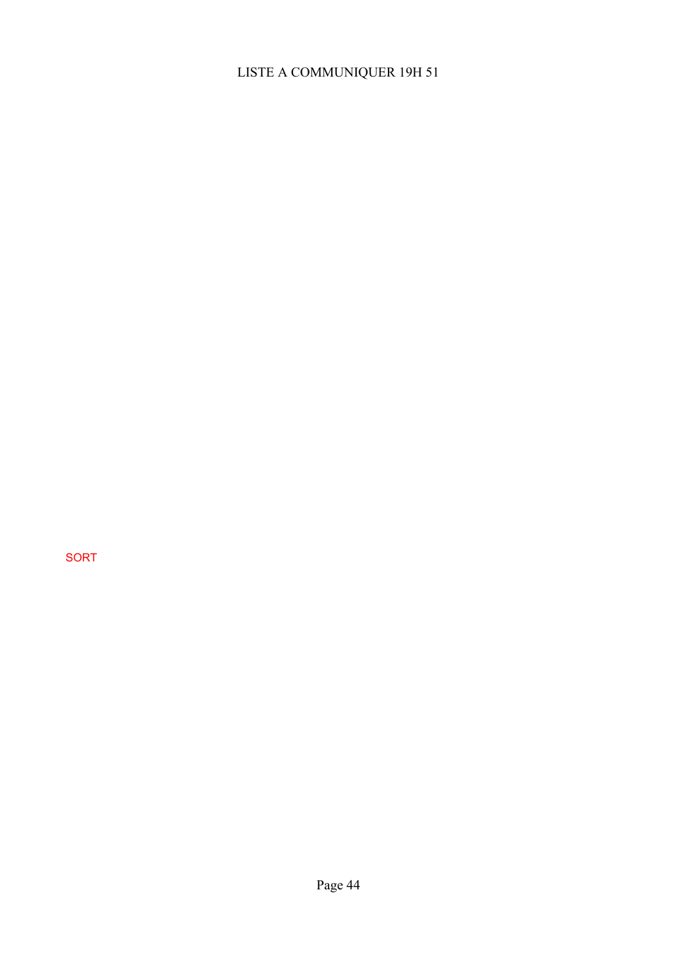SORT